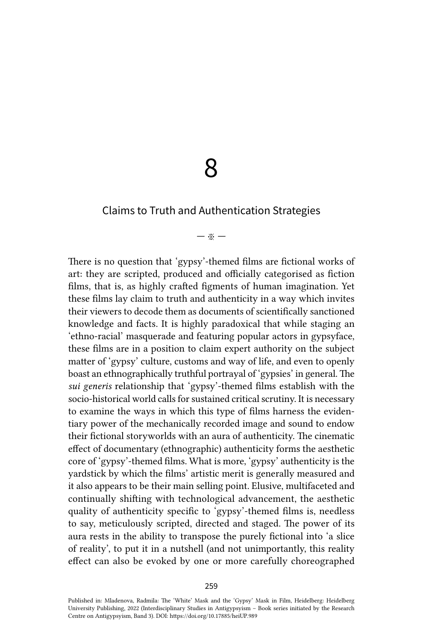8

# Claims to Truth and Authentication Strategies

#### — ※ —

There is no question that 'gypsy'-themed films are fictional works of art: they are scripted, produced and officially categorised as fiction films, that is, as highly crafted figments of human imagination. Yet these films lay claim to truth and authenticity in a way which invites their viewers to decode them as documents of scientifically sanctioned knowledge and facts. It is highly paradoxical that while staging an 'ethno-racial' masquerade and featuring popular actors in gypsyface, these films are in a position to claim expert authority on the subject matter of 'gypsy' culture, customs and way of life, and even to openly boast an ethnographically truthful portrayal of 'gypsies' in general. The *sui generis* relationship that 'gypsy'-themed films establish with the socio-historical world calls for sustained critical scrutiny. It is necessary to examine the ways in which this type of films harness the evidentiary power of the mechanically recorded image and sound to endow their fictional storyworlds with an aura of authenticity. The cinematic effect of documentary (ethnographic) authenticity forms the aesthetic core of 'gypsy'-themed films. What is more, 'gypsy' authenticity is the yardstick by which the films' artistic merit is generally measured and it also appears to be their main selling point. Elusive, multifaceted and continually shifting with technological advancement, the aesthetic quality of authenticity specific to 'gypsy'-themed films is, needless to say, meticulously scripted, directed and staged. The power of its aura rests in the ability to transpose the purely fictional into 'a slice of reality', to put it in a nutshell (and not unimportantly, this reality effect can also be evoked by one or more carefully choreographed

Published in: Mladenova, Radmila: The 'White' Mask and the 'Gypsy' Mask in Film, Heidelberg: Heidelberg University Publishing, 2022 (Interdisciplinary Studies in Antigypsyism – Book series initiated by the Research Centre on Antigypsyism, Band 3). DOI:<https://doi.org/10.17885/heiUP.989>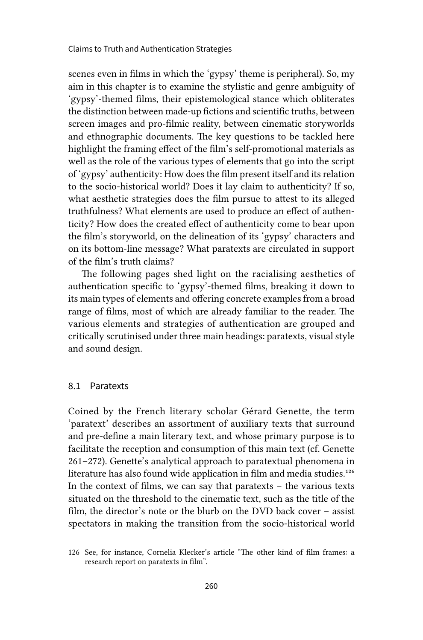scenes even in films in which the 'gypsy' theme is peripheral). So, my aim in this chapter is to examine the stylistic and genre ambiguity of 'gypsy'-themed films, their epistemological stance which obliterates the distinction between made-up fictions and scientific truths, between screen images and pro-filmic reality, between cinematic storyworlds and ethnographic documents. The key questions to be tackled here highlight the framing effect of the film's self-promotional materials as well as the role of the various types of elements that go into the script of 'gypsy' authenticity: How does the film present itself and its relation to the socio-historical world? Does it lay claim to authenticity? If so, what aesthetic strategies does the film pursue to attest to its alleged truthfulness? What elements are used to produce an effect of authenticity? How does the created effect of authenticity come to bear upon the film's storyworld, on the delineation of its 'gypsy' characters and on its bottom-line message? What paratexts are circulated in support of the film's truth claims?

The following pages shed light on the racialising aesthetics of authentication specific to 'gypsy'-themed films, breaking it down to its main types of elements and offering concrete examples from a broad range of films, most of which are already familiar to the reader. The various elements and strategies of authentication are grouped and critically scrutinised under three main headings: paratexts, visual style and sound design.

#### 8.1 Paratexts

Coined by the French literary scholar Gérard Genette, the term 'paratext' describes an assortment of auxiliary texts that surround and pre-define a main literary text, and whose primary purpose is to facilitate the reception and consumption of this main text (cf. Genette 261–272). Genette's analytical approach to paratextual phenomena in literature has also found wide application in film and media studies.<sup>126</sup> In the context of films, we can say that paratexts – the various texts situated on the threshold to the cinematic text, such as the title of the film, the director's note or the blurb on the DVD back cover – assist spectators in making the transition from the socio-historical world

<sup>126</sup> See, for instance, Cornelia Klecker's article "The other kind of film frames: a research report on paratexts in film".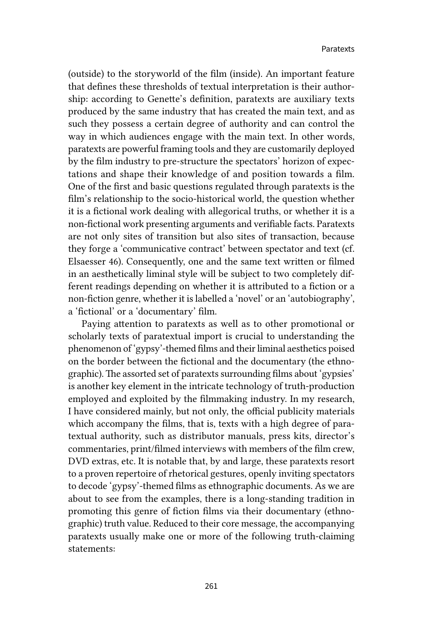(outside) to the storyworld of the film (inside). An important feature that defines these thresholds of textual interpretation is their authorship: according to Genette's definition, paratexts are auxiliary texts produced by the same industry that has created the main text, and as such they possess a certain degree of authority and can control the way in which audiences engage with the main text. In other words, paratexts are powerful framing tools and they are customarily deployed by the film industry to pre-structure the spectators' horizon of expectations and shape their knowledge of and position towards a film. One of the first and basic questions regulated through paratexts is the film's relationship to the socio-historical world, the question whether it is a fictional work dealing with allegorical truths, or whether it is a non-fictional work presenting arguments and verifiable facts. Paratexts are not only sites of transition but also sites of transaction, because they forge a 'communicative contract' between spectator and text (cf. Elsaesser 46). Consequently, one and the same text written or filmed in an aesthetically liminal style will be subject to two completely different readings depending on whether it is attributed to a fiction or a non-fiction genre, whether it is labelled a 'novel' or an 'autobiography', a 'fictional' or a 'documentary' film.

Paying attention to paratexts as well as to other promotional or scholarly texts of paratextual import is crucial to understanding the phenomenon of 'gypsy'-themed films and their liminal aesthetics poised on the border between the fictional and the documentary (the ethnographic). The assorted set of paratexts surrounding films about 'gypsies' is another key element in the intricate technology of truth-production employed and exploited by the filmmaking industry. In my research, I have considered mainly, but not only, the official publicity materials which accompany the films, that is, texts with a high degree of paratextual authority, such as distributor manuals, press kits, director's commentaries, print/filmed interviews with members of the film crew, DVD extras, etc. It is notable that, by and large, these paratexts resort to a proven repertoire of rhetorical gestures, openly inviting spectators to decode 'gypsy'-themed films as ethnographic documents. As we are about to see from the examples, there is a long-standing tradition in promoting this genre of fiction films via their documentary (ethnographic) truth value. Reduced to their core message, the accompanying paratexts usually make one or more of the following truth-claiming statements: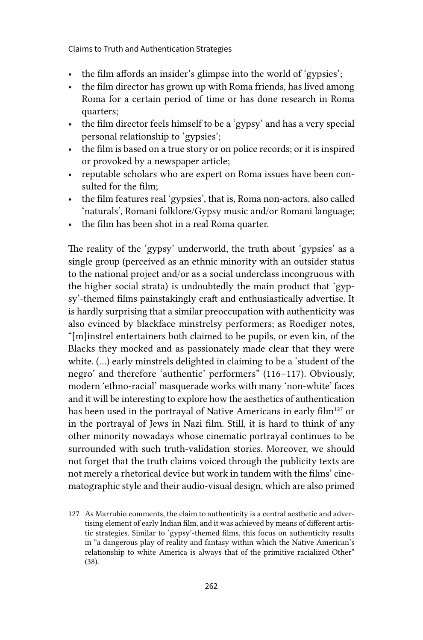- the film affords an insider's glimpse into the world of 'gypsies';
- the film director has grown up with Roma friends, has lived among Roma for a certain period of time or has done research in Roma quarters;
- the film director feels himself to be a 'gypsy' and has a very special personal relationship to 'gypsies';
- the film is based on a true story or on police records; or it is inspired or provoked by a newspaper article;
- reputable scholars who are expert on Roma issues have been consulted for the film;
- the film features real 'gypsies', that is, Roma non-actors, also called 'naturals', Romani folklore/Gypsy music and/or Romani language;
- the film has been shot in a real Roma quarter.

The reality of the 'gypsy' underworld, the truth about 'gypsies' as a single group (perceived as an ethnic minority with an outsider status to the national project and/or as a social underclass incongruous with the higher social strata) is undoubtedly the main product that 'gypsy'-themed films painstakingly craft and enthusiastically advertise. It is hardly surprising that a similar preoccupation with authenticity was also evinced by blackface minstrelsy performers; as Roediger notes, "[m]instrel entertainers both claimed to be pupils, or even kin, of the Blacks they mocked and as passionately made clear that they were white. (…) early minstrels delighted in claiming to be a 'student of the negro' and therefore 'authentic' performers" (116–117). Obviously, modern 'ethno-racial' masquerade works with many 'non-white' faces and it will be interesting to explore how the aesthetics of authentication has been used in the portrayal of Native Americans in early film<sup>127</sup> or in the portrayal of Jews in Nazi film. Still, it is hard to think of any other minority nowadays whose cinematic portrayal continues to be surrounded with such truth-validation stories. Moreover, we should not forget that the truth claims voiced through the publicity texts are not merely a rhetorical device but work in tandem with the films' cinematographic style and their audio-visual design, which are also primed

<sup>127</sup> As Marrubio comments, the claim to authenticity is a central aesthetic and advertising element of early Indian film, and it was achieved by means of different artistic strategies. Similar to 'gypsy'-themed films, this focus on authenticity results in "a dangerous play of reality and fantasy within which the Native American's relationship to white America is always that of the primitive racialized Other" (38).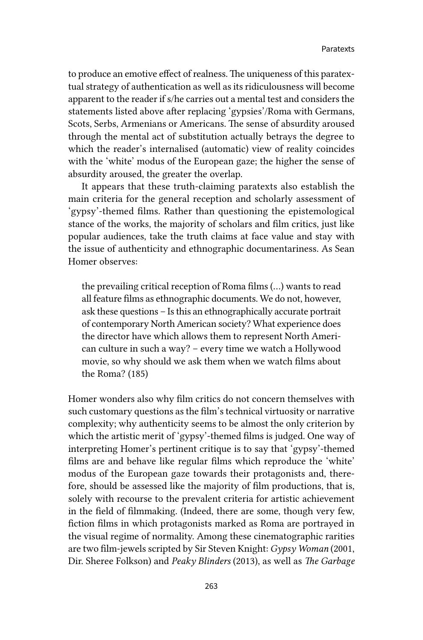to produce an emotive effect of realness. The uniqueness of this paratextual strategy of authentication as well as its ridiculousness will become apparent to the reader if s/he carries out a mental test and considers the statements listed above after replacing 'gypsies'/Roma with Germans, Scots, Serbs, Armenians or Americans. The sense of absurdity aroused through the mental act of substitution actually betrays the degree to which the reader's internalised (automatic) view of reality coincides with the 'white' modus of the European gaze; the higher the sense of absurdity aroused, the greater the overlap.

It appears that these truth-claiming paratexts also establish the main criteria for the general reception and scholarly assessment of 'gypsy'-themed films. Rather than questioning the epistemological stance of the works, the majority of scholars and film critics, just like popular audiences, take the truth claims at face value and stay with the issue of authenticity and ethnographic documentariness. As Sean Homer observes:

the prevailing critical reception of Roma films (…) wants to read all feature films as ethnographic documents. We do not, however, ask these questions – Is this an ethnographically accurate portrait of contemporary North American society? What experience does the director have which allows them to represent North American culture in such a way? – every time we watch a Hollywood movie, so why should we ask them when we watch films about the Roma? (185)

Homer wonders also why film critics do not concern themselves with such customary questions as the film's technical virtuosity or narrative complexity; why authenticity seems to be almost the only criterion by which the artistic merit of 'gypsy'-themed films is judged. One way of interpreting Homer's pertinent critique is to say that 'gypsy'-themed films are and behave like regular films which reproduce the 'white' modus of the European gaze towards their protagonists and, therefore, should be assessed like the majority of film productions, that is, solely with recourse to the prevalent criteria for artistic achievement in the field of filmmaking. (Indeed, there are some, though very few, fiction films in which protagonists marked as Roma are portrayed in the visual regime of normality. Among these cinematographic rarities are two film-jewels scripted by Sir Steven Knight: *Gypsy Woman* (2001, Dir. Sheree Folkson) and *Peaky Blinders* (2013), as well as *The Garbage*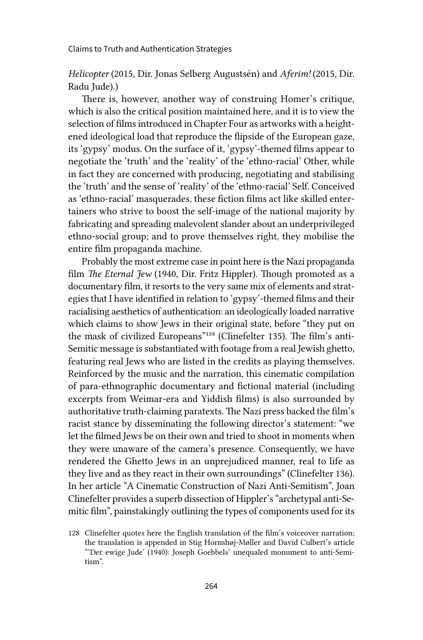*Helicopter* (2015, Dir. Jonas Selberg Augustsén) and *Aferim!* (2015, Dir. Radu Jude).)

There is, however, another way of construing Homer's critique, which is also the critical position maintained here, and it is to view the selection of films introduced in Chapter Four as artworks with a heightened ideological load that reproduce the flipside of the European gaze, its 'gypsy' modus. On the surface of it, 'gypsy'-themed films appear to negotiate the 'truth' and the 'reality' of the 'ethno-racial' Other, while in fact they are concerned with producing, negotiating and stabilising the 'truth' and the sense of 'reality' of the 'ethno-racial' Self. Conceived as 'ethno-racial' masquerades, these fiction films act like skilled entertainers who strive to boost the self-image of the national majority by fabricating and spreading malevolent slander about an underprivileged ethno-social group; and to prove themselves right, they mobilise the entire film propaganda machine.

Probably the most extreme case in point here is the Nazi propaganda film *The Eternal Jew* (1940, Dir. Fritz Hippler). Though promoted as a documentary film, it resorts to the very same mix of elements and strategies that I have identified in relation to 'gypsy'-themed films and their racialising aesthetics of authentication: an ideologically loaded narrative which claims to show Jews in their original state, before "they put on the mask of civilized Europeans"128 (Clinefelter 135). The film's anti-Semitic message is substantiated with footage from a real Jewish ghetto, featuring real Jews who are listed in the credits as playing themselves. Reinforced by the music and the narration, this cinematic compilation of para-ethnographic documentary and fictional material (including excerpts from Weimar-era and Yiddish films) is also surrounded by authoritative truth-claiming paratexts. The Nazi press backed the film's racist stance by disseminating the following director's statement: "we let the filmed Jews be on their own and tried to shoot in moments when they were unaware of the camera's presence. Consequently, we have rendered the Ghetto Jews in an unprejudiced manner, real to life as they live and as they react in their own surroundings" (Clinefelter 136). In her article "A Cinematic Construction of Nazi Anti-Semitism", Joan Clinefelter provides a superb dissection of Hippler's "archetypal anti-Semitic film", painstakingly outlining the types of components used for its

<sup>128</sup> Clinefelter quotes here the English translation of the film's voiceover narration; the translation is appended in Stig Hornshøj-Møller and David Culbert's article "'Der ewige Jude' (1940): Joseph Goebbels' unequaled monument to anti-Semitism".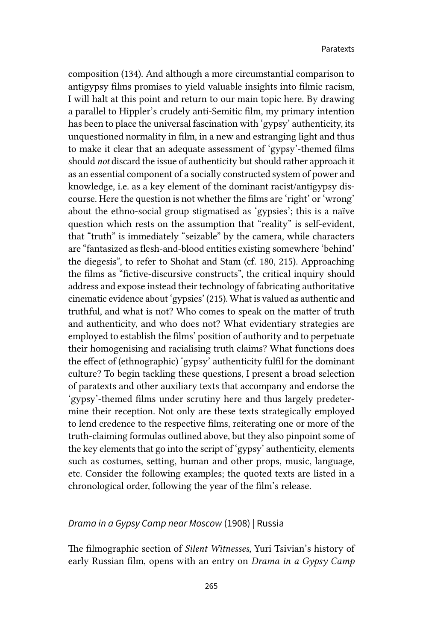composition (134). And although a more circumstantial comparison to antigypsy films promises to yield valuable insights into filmic racism, I will halt at this point and return to our main topic here. By drawing a parallel to Hippler's crudely anti-Semitic film, my primary intention has been to place the universal fascination with 'gypsy' authenticity, its unquestioned normality in film, in a new and estranging light and thus to make it clear that an adequate assessment of 'gypsy'-themed films should *not* discard the issue of authenticity but should rather approach it as an essential component of a socially constructed system of power and knowledge, i.e. as a key element of the dominant racist/antigypsy discourse. Here the question is not whether the films are 'right' or 'wrong' about the ethno-social group stigmatised as 'gypsies'; this is a naïve question which rests on the assumption that "reality" is self-evident, that "truth" is immediately "seizable" by the camera, while characters are "fantasized as flesh-and-blood entities existing somewhere 'behind' the diegesis", to refer to Shohat and Stam (cf. 180, 215). Approaching the films as "fictive-discursive constructs", the critical inquiry should address and expose instead their technology of fabricating authoritative cinematic evidence about 'gypsies' (215). What is valued as authentic and truthful, and what is not? Who comes to speak on the matter of truth and authenticity, and who does not? What evidentiary strategies are employed to establish the films' position of authority and to perpetuate their homogenising and racialising truth claims? What functions does the effect of (ethnographic) 'gypsy' authenticity fulfil for the dominant culture? To begin tackling these questions, I present a broad selection of paratexts and other auxiliary texts that accompany and endorse the 'gypsy'-themed films under scrutiny here and thus largely predetermine their reception. Not only are these texts strategically employed to lend credence to the respective films, reiterating one or more of the truth-claiming formulas outlined above, but they also pinpoint some of the key elements that go into the script of 'gypsy' authenticity, elements such as costumes, setting, human and other props, music, language, etc. Consider the following examples; the quoted texts are listed in a chronological order, following the year of the film's release.

### *Drama in a Gypsy Camp near Moscow* (1908) | Russia

The filmographic section of *Silent Witnesses*, Yuri Tsivian's history of early Russian film, opens with an entry on *Drama in a Gypsy Camp*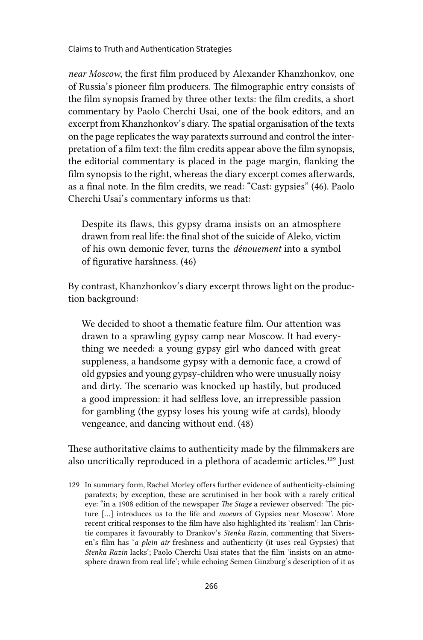*near Moscow*, the first film produced by Alexander Khanzhonkov, one of Russia's pioneer film producers. The filmographic entry consists of the film synopsis framed by three other texts: the film credits, a short commentary by Paolo Cherchi Usai, one of the book editors, and an excerpt from Khanzhonkov's diary. The spatial organisation of the texts on the page replicates the way paratexts surround and control the interpretation of a film text: the film credits appear above the film synopsis, the editorial commentary is placed in the page margin, flanking the film synopsis to the right, whereas the diary excerpt comes afterwards, as a final note. In the film credits, we read: "Cast: gypsies" (46). Paolo Cherchi Usai's commentary informs us that:

Despite its flaws, this gypsy drama insists on an atmosphere drawn from real life: the final shot of the suicide of Aleko, victim of his own demonic fever, turns the *dénouement* into a symbol of figurative harshness. (46)

By contrast, Khanzhonkov's diary excerpt throws light on the production background:

We decided to shoot a thematic feature film. Our attention was drawn to a sprawling gypsy camp near Moscow. It had everything we needed: a young gypsy girl who danced with great suppleness, a handsome gypsy with a demonic face, a crowd of old gypsies and young gypsy-children who were unusually noisy and dirty. The scenario was knocked up hastily, but produced a good impression: it had selfless love, an irrepressible passion for gambling (the gypsy loses his young wife at cards), bloody vengeance, and dancing without end. (48)

These authoritative claims to authenticity made by the filmmakers are also uncritically reproduced in a plethora of academic articles.<sup>129</sup> Just

<sup>129</sup> In summary form, Rachel Morley offers further evidence of authenticity-claiming paratexts; by exception, these are scrutinised in her book with a rarely critical eye: "in a 1908 edition of the newspaper *The Stage* a reviewer observed: 'The picture […] introduces us to the life and *moeurs* of Gypsies near Moscow'. More recent critical responses to the film have also highlighted its 'realism': Ian Christie compares it favourably to Drankov's *Stenka Razin*, commenting that Siversen's film has '*a plein air* freshness and authenticity (it uses real Gypsies) that *Stenka Razin* lacks'; Paolo Cherchi Usai states that the film 'insists on an atmosphere drawn from real life'; while echoing Semen Ginzburg's description of it as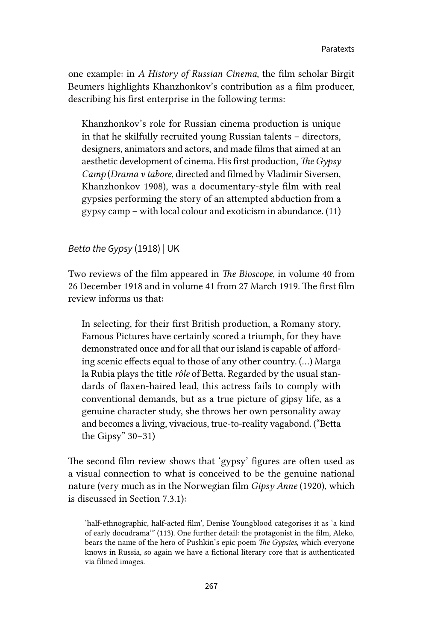one example: in *A History of Russian Cinema*, the film scholar Birgit Beumers highlights Khanzhonkov's contribution as a film producer, describing his first enterprise in the following terms:

Khanzhonkov's role for Russian cinema production is unique in that he skilfully recruited young Russian talents – directors, designers, animators and actors, and made films that aimed at an aesthetic development of cinema. His first production, *The Gypsy Camp* (*Drama v tabore*, directed and filmed by Vladimir Siversen, Khanzhonkov 1908), was a documentary-style film with real gypsies performing the story of an attempted abduction from a gypsy camp – with local colour and exoticism in abundance. (11)

*Betta the Gypsy* (1918) | UK

Two reviews of the film appeared in *The Bioscope*, in volume 40 from 26 December 1918 and in volume 41 from 27 March 1919. The first film review informs us that:

In selecting, for their first British production, a Romany story, Famous Pictures have certainly scored a triumph, for they have demonstrated once and for all that our island is capable of affording scenic effects equal to those of any other country. (…) Marga la Rubia plays the title *rôle* of Betta. Regarded by the usual standards of flaxen-haired lead, this actress fails to comply with conventional demands, but as a true picture of gipsy life, as a genuine character study, she throws her own personality away and becomes a living, vivacious, true-to-reality vagabond. ("Betta the Gipsy" 30–31)

The second film review shows that 'gypsy' figures are often used as a visual connection to what is conceived to be the genuine national nature (very much as in the Norwegian film *Gipsy Anne* (1920), which is discussed in Section 7.3.1):

<sup>&#</sup>x27;half-ethnographic, half-acted film', Denise Youngblood categorises it as 'a kind of early docudrama'" (113). One further detail: the protagonist in the film, Aleko, bears the name of the hero of Pushkin's epic poem *The Gypsies,* which everyone knows in Russia, so again we have a fictional literary core that is authenticated via filmed images.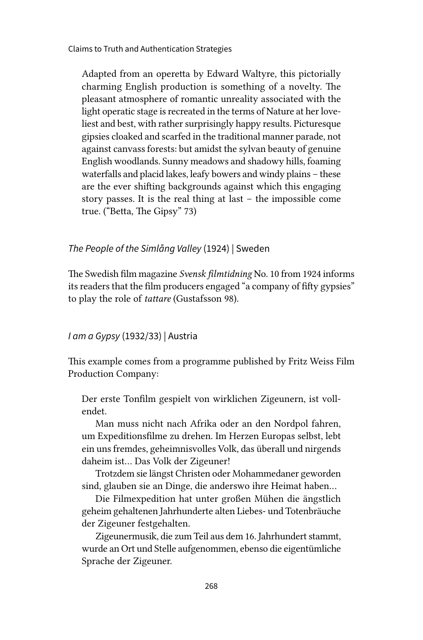Adapted from an operetta by Edward Waltyre, this pictorially charming English production is something of a novelty. The pleasant atmosphere of romantic unreality associated with the light operatic stage is recreated in the terms of Nature at her loveliest and best, with rather surprisingly happy results. Picturesque gipsies cloaked and scarfed in the traditional manner parade, not against canvass forests: but amidst the sylvan beauty of genuine English woodlands. Sunny meadows and shadowy hills, foaming waterfalls and placid lakes, leafy bowers and windy plains – these are the ever shifting backgrounds against which this engaging story passes. It is the real thing at last – the impossible come true. ("Betta, The Gipsy" 73)

*The People of the Simlång Valley* (1924) | Sweden

The Swedish film magazine *Svensk filmtidning* No. 10 from 1924 informs its readers that the film producers engaged "a company of fifty gypsies" to play the role of *tattare* (Gustafsson 98).

### *I am a Gypsy* (1932/33) | Austria

This example comes from a programme published by Fritz Weiss Film Production Company:

Der erste Tonfilm gespielt von wirklichen Zigeunern, ist vollendet.

Man muss nicht nach Afrika oder an den Nordpol fahren, um Expeditionsfilme zu drehen. Im Herzen Europas selbst, lebt ein uns fremdes, geheimnisvolles Volk, das überall und nirgends daheim ist… Das Volk der Zigeuner!

Trotzdem sie längst Christen oder Mohammedaner geworden sind, glauben sie an Dinge, die anderswo ihre Heimat haben…

Die Filmexpedition hat unter großen Mühen die ängstlich geheim gehaltenen Jahrhunderte alten Liebes- und Totenbräuche der Zigeuner festgehalten.

Zigeunermusik, die zum Teil aus dem 16. Jahrhundert stammt, wurde an Ort und Stelle aufgenommen, ebenso die eigentümliche Sprache der Zigeuner.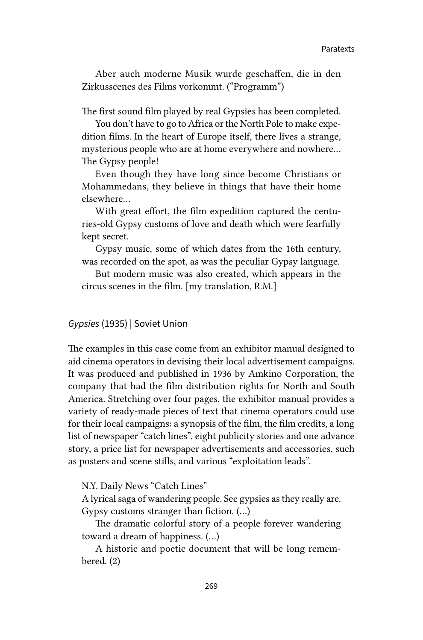Aber auch moderne Musik wurde geschaffen, die in den Zirkusscenes des Films vorkommt. ("Programm")

The first sound film played by real Gypsies has been completed.

You don't have to go to Africa or the North Pole to make expedition films. In the heart of Europe itself, there lives a strange, mysterious people who are at home everywhere and nowhere... The Gypsy people!

Even though they have long since become Christians or Mohammedans, they believe in things that have their home elsewhere...

With great effort, the film expedition captured the centuries-old Gypsy customs of love and death which were fearfully kept secret.

Gypsy music, some of which dates from the 16th century, was recorded on the spot, as was the peculiar Gypsy language.

But modern music was also created, which appears in the circus scenes in the film. [my translation, R.M.]

### *Gypsies* (1935) | Soviet Union

The examples in this case come from an exhibitor manual designed to aid cinema operators in devising their local advertisement campaigns. It was produced and published in 1936 by Amkino Corporation, the company that had the film distribution rights for North and South America. Stretching over four pages, the exhibitor manual provides a variety of ready-made pieces of text that cinema operators could use for their local campaigns: a synopsis of the film, the film credits, a long list of newspaper "catch lines", eight publicity stories and one advance story, a price list for newspaper advertisements and accessories, such as posters and scene stills, and various "exploitation leads".

N.Y. Daily News "Catch Lines"

A lyrical saga of wandering people. See gypsies as they really are. Gypsy customs stranger than fiction. (…)

The dramatic colorful story of a people forever wandering toward a dream of happiness. (…)

A historic and poetic document that will be long remembered. (2)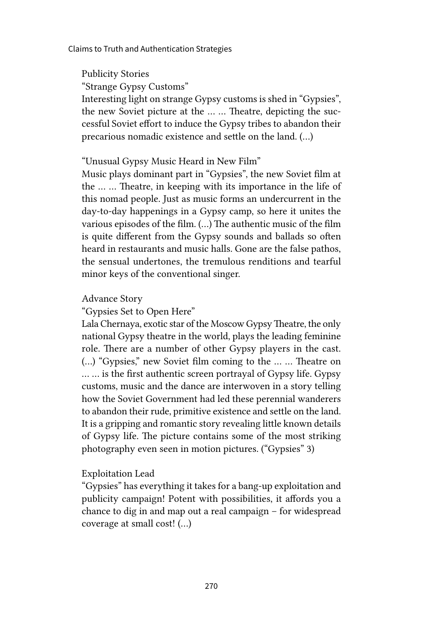Publicity Stories

"Strange Gypsy Customs"

Interesting light on strange Gypsy customs is shed in "Gypsies", the new Soviet picture at the … … Theatre, depicting the successful Soviet effort to induce the Gypsy tribes to abandon their precarious nomadic existence and settle on the land. (…)

### "Unusual Gypsy Music Heard in New Film"

Music plays dominant part in "Gypsies", the new Soviet film at the … … Theatre, in keeping with its importance in the life of this nomad people. Just as music forms an undercurrent in the day-to-day happenings in a Gypsy camp, so here it unites the various episodes of the film. (…) The authentic music of the film is quite different from the Gypsy sounds and ballads so often heard in restaurants and music halls. Gone are the false pathos, the sensual undertones, the tremulous renditions and tearful minor keys of the conventional singer.

### Advance Story

"Gypsies Set to Open Here"

Lala Chernaya, exotic star of the Moscow Gypsy Theatre, the only national Gypsy theatre in the world, plays the leading feminine role. There are a number of other Gypsy players in the cast. (…) "Gypsies," new Soviet film coming to the … … Theatre on … … is the first authentic screen portrayal of Gypsy life. Gypsy customs, music and the dance are interwoven in a story telling how the Soviet Government had led these perennial wanderers to abandon their rude, primitive existence and settle on the land. It is a gripping and romantic story revealing little known details of Gypsy life. The picture contains some of the most striking photography even seen in motion pictures. ("Gypsies" 3)

### Exploitation Lead

"Gypsies" has everything it takes for a bang-up exploitation and publicity campaign! Potent with possibilities, it affords you a chance to dig in and map out a real campaign – for widespread coverage at small cost! (…)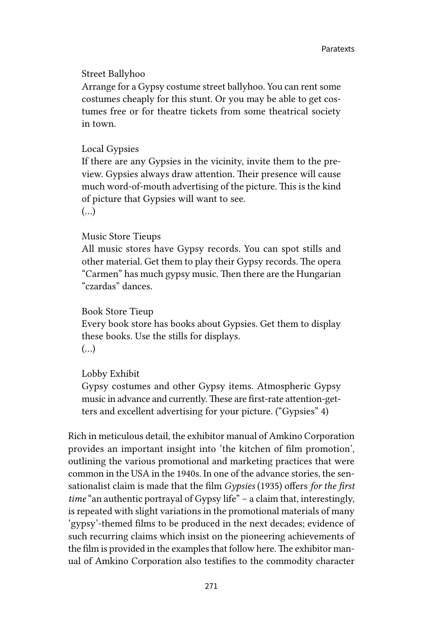### Street Ballyhoo

Arrange for a Gypsy costume street ballyhoo. You can rent some costumes cheaply for this stunt. Or you may be able to get costumes free or for theatre tickets from some theatrical society in town.

#### Local Gypsies

If there are any Gypsies in the vicinity, invite them to the preview. Gypsies always draw attention. Their presence will cause much word-of-mouth advertising of the picture. This is the kind of picture that Gypsies will want to see. (…)

#### Music Store Tieups

All music stores have Gypsy records. You can spot stills and other material. Get them to play their Gypsy records. The opera "Carmen" has much gypsy music. Then there are the Hungarian "czardas" dances.

#### Book Store Tieup

Every book store has books about Gypsies. Get them to display these books. Use the stills for displays. (…)

#### Lobby Exhibit

Gypsy costumes and other Gypsy items. Atmospheric Gypsy music in advance and currently. These are first-rate attention-getters and excellent advertising for your picture. ("Gypsies" 4)

Rich in meticulous detail, the exhibitor manual of Amkino Corporation provides an important insight into 'the kitchen of film promotion', outlining the various promotional and marketing practices that were common in the USA in the 1940s. In one of the advance stories, the sensationalist claim is made that the film *Gypsies* (1935) offers *for the first time* "an authentic portrayal of Gypsy life" – a claim that, interestingly, is repeated with slight variations in the promotional materials of many 'gypsy'-themed films to be produced in the next decades; evidence of such recurring claims which insist on the pioneering achievements of the film is provided in the examples that follow here. The exhibitor manual of Amkino Corporation also testifies to the commodity character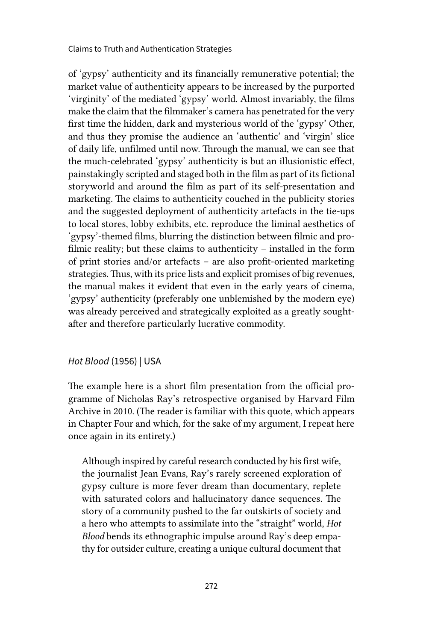of 'gypsy' authenticity and its financially remunerative potential; the market value of authenticity appears to be increased by the purported 'virginity' of the mediated 'gypsy' world. Almost invariably, the films make the claim that the filmmaker's camera has penetrated for the very first time the hidden, dark and mysterious world of the 'gypsy' Other, and thus they promise the audience an 'authentic' and 'virgin' slice of daily life, unfilmed until now. Through the manual, we can see that the much-celebrated 'gypsy' authenticity is but an illusionistic effect, painstakingly scripted and staged both in the film as part of its fictional storyworld and around the film as part of its self-presentation and marketing. The claims to authenticity couched in the publicity stories and the suggested deployment of authenticity artefacts in the tie-ups to local stores, lobby exhibits, etc. reproduce the liminal aesthetics of 'gypsy'-themed films, blurring the distinction between filmic and profilmic reality; but these claims to authenticity – installed in the form of print stories and/or artefacts – are also profit-oriented marketing strategies. Thus, with its price lists and explicit promises of big revenues, the manual makes it evident that even in the early years of cinema, 'gypsy' authenticity (preferably one unblemished by the modern eye) was already perceived and strategically exploited as a greatly soughtafter and therefore particularly lucrative commodity.

### *Hot Blood* (1956) | USA

The example here is a short film presentation from the official programme of Nicholas Ray's retrospective organised by Harvard Film Archive in 2010. (The reader is familiar with this quote, which appears in Chapter Four and which, for the sake of my argument, I repeat here once again in its entirety.)

Although inspired by careful research conducted by his first wife, the journalist Jean Evans, Ray's rarely screened exploration of gypsy culture is more fever dream than documentary, replete with saturated colors and hallucinatory dance sequences. The story of a community pushed to the far outskirts of society and a hero who attempts to assimilate into the "straight" world, *Hot Blood* bends its ethnographic impulse around Ray's deep empathy for outsider culture, creating a unique cultural document that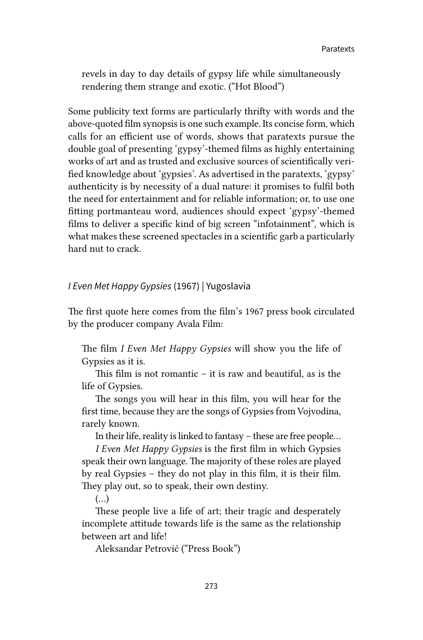revels in day to day details of gypsy life while simultaneously rendering them strange and exotic. ("Hot Blood")

Some publicity text forms are particularly thrifty with words and the above-quoted film synopsis is one such example. Its concise form, which calls for an efficient use of words, shows that paratexts pursue the double goal of presenting 'gypsy'-themed films as highly entertaining works of art and as trusted and exclusive sources of scientifically verified knowledge about 'gypsies'. As advertised in the paratexts, 'gypsy' authenticity is by necessity of a dual nature: it promises to fulfil both the need for entertainment and for reliable information; or, to use one fitting portmanteau word, audiences should expect 'gypsy'-themed films to deliver a specific kind of big screen "infotainment", which is what makes these screened spectacles in a scientific garb a particularly hard nut to crack.

### *I Even Met Happy Gypsies* (1967) | Yugoslavia

The first quote here comes from the film's 1967 press book circulated by the producer company Avala Film:

The film *I Even Met Happy Gypsies* will show you the life of Gypsies as it is.

This film is not romantic – it is raw and beautiful, as is the life of Gypsies.

The songs you will hear in this film, you will hear for the first time, because they are the songs of Gypsies from Vojvodina, rarely known.

In their life, reality is linked to fantasy – these are free people…

*I Even Met Happy Gypsies* is the first film in which Gypsies speak their own language. The majority of these roles are played by real Gypsies – they do not play in this film, it is their film. They play out, so to speak, their own destiny.

(…)

These people live a life of art; their tragic and desperately incomplete attitude towards life is the same as the relationship between art and life!

Aleksandar Petrović ("Press Book")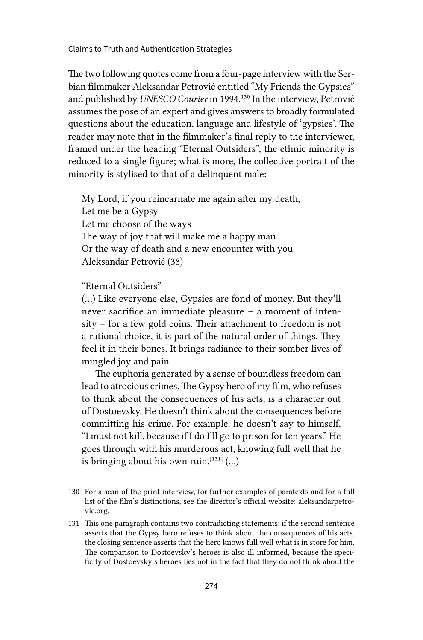The two following quotes come from a four-page interview with the Serbian filmmaker Aleksandar Petrović entitled "My Friends the Gypsies" and published by *UNESCO Courier* in 1994.130 In the interview, Petrović assumes the pose of an expert and gives answers to broadly formulated questions about the education, language and lifestyle of 'gypsies'. The reader may note that in the filmmaker's final reply to the interviewer, framed under the heading "Eternal Outsiders", the ethnic minority is reduced to a single figure; what is more, the collective portrait of the minority is stylised to that of a delinquent male:

My Lord, if you reincarnate me again after my death, Let me be a Gypsy Let me choose of the ways The way of joy that will make me a happy man Or the way of death and a new encounter with you Aleksandar Petrović (38)

"Eternal Outsiders"

(…) Like everyone else, Gypsies are fond of money. But they'll never sacrifice an immediate pleasure – a moment of intensity – for a few gold coins. Their attachment to freedom is not a rational choice, it is part of the natural order of things. They feel it in their bones. It brings radiance to their somber lives of mingled joy and pain.

The euphoria generated by a sense of boundless freedom can lead to atrocious crimes. The Gypsy hero of my film, who refuses to think about the consequences of his acts, is a character out of Dostoevsky. He doesn't think about the consequences before committing his crime. For example, he doesn't say to himself, "I must not kill, because if I do I'll go to prison for ten years." He goes through with his murderous act, knowing full well that he is bringing about his own ruin.<sup>[131]</sup> (...)

<sup>130</sup> For a scan of the print interview, for further examples of paratexts and for a full list of the film's distinctions, see the director's official website: aleksandarpetrovic.org.

<sup>131</sup> This one paragraph contains two contradicting statements: if the second sentence asserts that the Gypsy hero refuses to think about the consequences of his acts, the closing sentence asserts that the hero knows full well what is in store for him. The comparison to Dostoevsky's heroes is also ill informed, because the specificity of Dostoevsky's heroes lies not in the fact that they do not think about the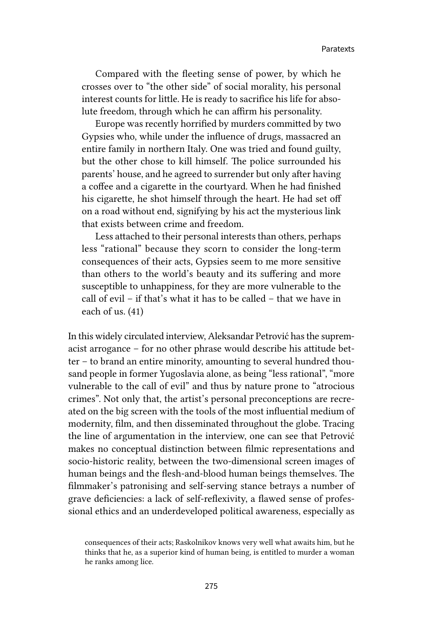Compared with the fleeting sense of power, by which he crosses over to "the other side" of social morality, his personal interest counts for little. He is ready to sacrifice his life for absolute freedom, through which he can affirm his personality.

Europe was recently horrified by murders committed by two Gypsies who, while under the influence of drugs, massacred an entire family in northern Italy. One was tried and found guilty, but the other chose to kill himself. The police surrounded his parents' house, and he agreed to surrender but only after having a coffee and a cigarette in the courtyard. When he had finished his cigarette, he shot himself through the heart. He had set off on a road without end, signifying by his act the mysterious link that exists between crime and freedom.

Less attached to their personal interests than others, perhaps less "rational" because they scorn to consider the long-term consequences of their acts, Gypsies seem to me more sensitive than others to the world's beauty and its suffering and more susceptible to unhappiness, for they are more vulnerable to the call of evil – if that's what it has to be called – that we have in each of us. (41)

In this widely circulated interview, Aleksandar Petrović has the supremacist arrogance – for no other phrase would describe his attitude better – to brand an entire minority, amounting to several hundred thousand people in former Yugoslavia alone, as being "less rational", "more vulnerable to the call of evil" and thus by nature prone to "atrocious crimes". Not only that, the artist's personal preconceptions are recreated on the big screen with the tools of the most influential medium of modernity, film, and then disseminated throughout the globe. Tracing the line of argumentation in the interview, one can see that Petrović makes no conceptual distinction between filmic representations and socio-historic reality, between the two-dimensional screen images of human beings and the flesh-and-blood human beings themselves. The filmmaker's patronising and self-serving stance betrays a number of grave deficiencies: a lack of self-reflexivity, a flawed sense of professional ethics and an underdeveloped political awareness, especially as

consequences of their acts; Raskolnikov knows very well what awaits him, but he thinks that he, as a superior kind of human being, is entitled to murder a woman he ranks among lice.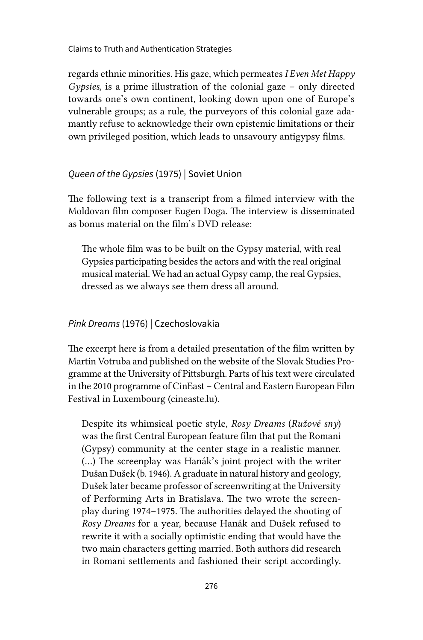regards ethnic minorities. His gaze, which permeates *I Even Met Happy Gypsies,* is a prime illustration of the colonial gaze – only directed towards one's own continent, looking down upon one of Europe's vulnerable groups; as a rule, the purveyors of this colonial gaze adamantly refuse to acknowledge their own epistemic limitations or their own privileged position, which leads to unsavoury antigypsy films.

### *Queen of the Gypsies* (1975) | Soviet Union

The following text is a transcript from a filmed interview with the Moldovan film composer Eugen Doga. The interview is disseminated as bonus material on the film's DVD release:

The whole film was to be built on the Gypsy material, with real Gypsies participating besides the actors and with the real original musical material. We had an actual Gypsy camp, the real Gypsies, dressed as we always see them dress all around.

### *Pink Dreams* (1976) | Czechoslovakia

The excerpt here is from a detailed presentation of the film written by Martin Votruba and published on the website of the Slovak Studies Programme at the University of Pittsburgh. Parts of his text were circulated in the 2010 programme of CinEast – Central and Eastern European Film Festival in Luxembourg (cineaste.lu).

Despite its whimsical poetic style, *Rosy Dreams* (*Ružové sny*) was the first Central European feature film that put the Romani (Gypsy) community at the center stage in a realistic manner. (…) The screenplay was Hanák's joint project with the writer Dušan Dušek (b. 1946). A graduate in natural history and geology, Dušek later became professor of screenwriting at the University of Performing Arts in Bratislava. The two wrote the screenplay during 1974–1975. The authorities delayed the shooting of *Rosy Dreams* for a year, because Hanák and Dušek refused to rewrite it with a socially optimistic ending that would have the two main characters getting married. Both authors did research in Romani settlements and fashioned their script accordingly.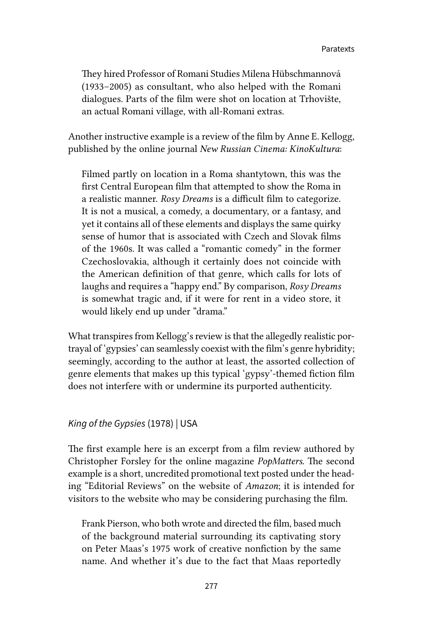They hired Professor of Romani Studies Milena Hübschmannová (1933–2005) as consultant, who also helped with the Romani dialogues. Parts of the film were shot on location at Trhovište, an actual Romani village, with all-Romani extras.

Another instructive example is a review of the film by Anne E. Kellogg, published by the online journal *New Russian Cinema: KinoKultura*:

Filmed partly on location in a Roma shantytown, this was the first Central European film that attempted to show the Roma in a realistic manner. *Rosy Dreams* is a difficult film to categorize. It is not a musical, a comedy, a documentary, or a fantasy, and yet it contains all of these elements and displays the same quirky sense of humor that is associated with Czech and Slovak films of the 1960s. It was called a "romantic comedy" in the former Czechoslovakia, although it certainly does not coincide with the American definition of that genre, which calls for lots of laughs and requires a "happy end." By comparison, *Rosy Dreams* is somewhat tragic and, if it were for rent in a video store, it would likely end up under "drama."

What transpires from Kellogg's review is that the allegedly realistic portrayal of 'gypsies' can seamlessly coexist with the film's genre hybridity; seemingly, according to the author at least, the assorted collection of genre elements that makes up this typical 'gypsy'-themed fiction film does not interfere with or undermine its purported authenticity.

### *King of the Gypsies* (1978) | USA

The first example here is an excerpt from a film review authored by Christopher Forsley for the online magazine *PopMatters*. The second example is a short, uncredited promotional text posted under the heading "Editorial Reviews" on the website of *Amazon*; it is intended for visitors to the website who may be considering purchasing the film.

Frank Pierson, who both wrote and directed the film, based much of the background material surrounding its captivating story on Peter Maas's 1975 work of creative nonfiction by the same name. And whether it's due to the fact that Maas reportedly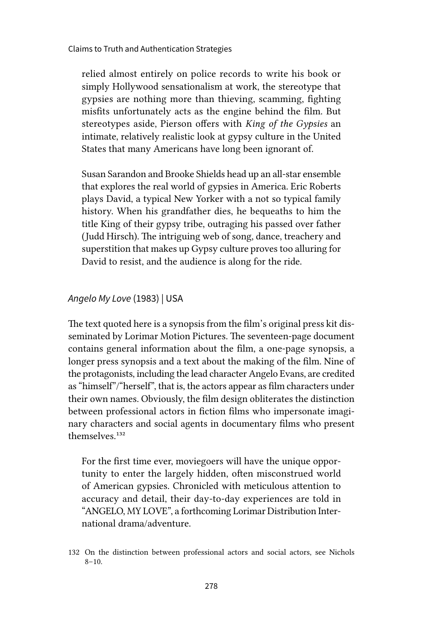relied almost entirely on police records to write his book or simply Hollywood sensationalism at work, the stereotype that gypsies are nothing more than thieving, scamming, fighting misfits unfortunately acts as the engine behind the film. But stereotypes aside, Pierson offers with *King of the Gypsies* an intimate, relatively realistic look at gypsy culture in the United States that many Americans have long been ignorant of.

Susan Sarandon and Brooke Shields head up an all-star ensemble that explores the real world of gypsies in America. Eric Roberts plays David, a typical New Yorker with a not so typical family history. When his grandfather dies, he bequeaths to him the title King of their gypsy tribe, outraging his passed over father (Judd Hirsch). The intriguing web of song, dance, treachery and superstition that makes up Gypsy culture proves too alluring for David to resist, and the audience is along for the ride.

### *Angelo My Love* (1983) | USA

The text quoted here is a synopsis from the film's original press kit disseminated by Lorimar Motion Pictures. The seventeen-page document contains general information about the film, a one-page synopsis, a longer press synopsis and a text about the making of the film. Nine of the protagonists, including the lead character Angelo Evans, are credited as "himself"/"herself", that is, the actors appear as film characters under their own names. Obviously, the film design obliterates the distinction between professional actors in fiction films who impersonate imaginary characters and social agents in documentary films who present themselves<sup>132</sup>

For the first time ever, moviegoers will have the unique opportunity to enter the largely hidden, often misconstrued world of American gypsies. Chronicled with meticulous attention to accuracy and detail, their day-to-day experiences are told in "ANGELO, MY LOVE", a forthcoming Lorimar Distribution International drama/adventure.

<sup>132</sup> On the distinction between professional actors and social actors, see Nichols  $8 - 10.$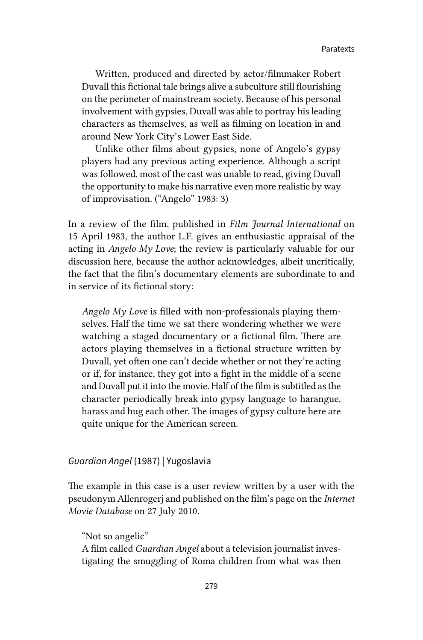Written, produced and directed by actor/filmmaker Robert Duvall this fictional tale brings alive a subculture still flourishing on the perimeter of mainstream society. Because of his personal involvement with gypsies, Duvall was able to portray his leading characters as themselves, as well as filming on location in and around New York City's Lower East Side.

Unlike other films about gypsies, none of Angelo's gypsy players had any previous acting experience. Although a script was followed, most of the cast was unable to read, giving Duvall the opportunity to make his narrative even more realistic by way of improvisation. ("Angelo" 1983: 3)

In a review of the film, published in *Film Journal International* on 15 April 1983, the author L.F. gives an enthusiastic appraisal of the acting in *Angelo My Love*; the review is particularly valuable for our discussion here, because the author acknowledges, albeit uncritically, the fact that the film's documentary elements are subordinate to and in service of its fictional story:

*Angelo My Love* is filled with non-professionals playing themselves. Half the time we sat there wondering whether we were watching a staged documentary or a fictional film. There are actors playing themselves in a fictional structure written by Duvall, yet often one can't decide whether or not they're acting or if, for instance, they got into a fight in the middle of a scene and Duvall put it into the movie. Half of the film is subtitled as the character periodically break into gypsy language to harangue, harass and hug each other. The images of gypsy culture here are quite unique for the American screen.

#### *Guardian Angel* (1987) | Yugoslavia

The example in this case is a user review written by a user with the pseudonym Allenrogerj and published on the film's page on the *Internet Movie Database* on 27 July 2010.

"Not so angelic" A film called *Guardian Angel* about a television journalist investigating the smuggling of Roma children from what was then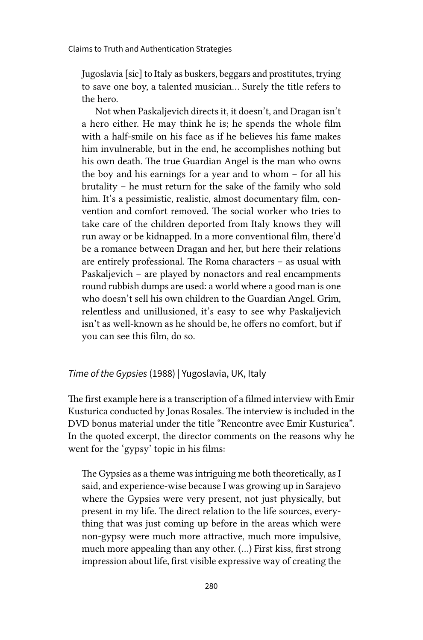Jugoslavia [sic] to Italy as buskers, beggars and prostitutes, trying to save one boy, a talented musician... Surely the title refers to the hero.

Not when Paskaljevich directs it, it doesn't, and Dragan isn't a hero either. He may think he is; he spends the whole film with a half-smile on his face as if he believes his fame makes him invulnerable, but in the end, he accomplishes nothing but his own death. The true Guardian Angel is the man who owns the boy and his earnings for a year and to whom – for all his brutality – he must return for the sake of the family who sold him. It's a pessimistic, realistic, almost documentary film, convention and comfort removed. The social worker who tries to take care of the children deported from Italy knows they will run away or be kidnapped. In a more conventional film, there'd be a romance between Dragan and her, but here their relations are entirely professional. The Roma characters – as usual with Paskaljevich – are played by nonactors and real encampments round rubbish dumps are used: a world where a good man is one who doesn't sell his own children to the Guardian Angel. Grim, relentless and unillusioned, it's easy to see why Paskaljevich isn't as well-known as he should be, he offers no comfort, but if you can see this film, do so.

### *Time of the Gypsies* (1988) | Yugoslavia, UK, Italy

The first example here is a transcription of a filmed interview with Emir Kusturica conducted by Jonas Rosales. The interview is included in the DVD bonus material under the title "Rencontre avec Emir Kusturica". In the quoted excerpt, the director comments on the reasons why he went for the 'gypsy' topic in his films:

The Gypsies as a theme was intriguing me both theoretically, as I said, and experience-wise because I was growing up in Sarajevo where the Gypsies were very present, not just physically, but present in my life. The direct relation to the life sources, everything that was just coming up before in the areas which were non-gypsy were much more attractive, much more impulsive, much more appealing than any other. (…) First kiss, first strong impression about life, first visible expressive way of creating the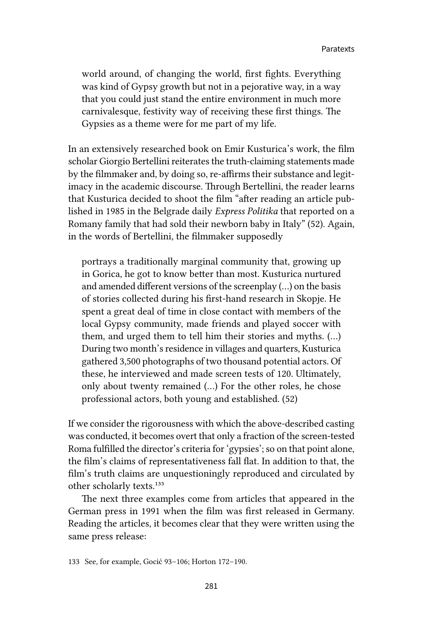world around, of changing the world, first fights. Everything was kind of Gypsy growth but not in a pejorative way, in a way that you could just stand the entire environment in much more carnivalesque, festivity way of receiving these first things. The Gypsies as a theme were for me part of my life.

In an extensively researched book on Emir Kusturica's work, the film scholar Giorgio Bertellini reiterates the truth-claiming statements made by the filmmaker and, by doing so, re-affirms their substance and legitimacy in the academic discourse. Through Bertellini, the reader learns that Kusturica decided to shoot the film "after reading an article published in 1985 in the Belgrade daily *Express Politika* that reported on a Romany family that had sold their newborn baby in Italy" (52). Again, in the words of Bertellini, the filmmaker supposedly

portrays a traditionally marginal community that, growing up in Gorica, he got to know better than most. Kusturica nurtured and amended different versions of the screenplay (…) on the basis of stories collected during his first-hand research in Skopje. He spent a great deal of time in close contact with members of the local Gypsy community, made friends and played soccer with them, and urged them to tell him their stories and myths. (…) During two month's residence in villages and quarters, Kusturica gathered 3,500 photographs of two thousand potential actors. Of these, he interviewed and made screen tests of 120. Ultimately, only about twenty remained (…) For the other roles, he chose professional actors, both young and established. (52)

If we consider the rigorousness with which the above-described casting was conducted, it becomes overt that only a fraction of the screen-tested Roma fulfilled the director's criteria for 'gypsies'; so on that point alone, the film's claims of representativeness fall flat. In addition to that, the film's truth claims are unquestioningly reproduced and circulated by other scholarly texts.133

The next three examples come from articles that appeared in the German press in 1991 when the film was first released in Germany. Reading the articles, it becomes clear that they were written using the same press release:

<sup>133</sup> See, for example, Gocić 93–106; Horton 172–190.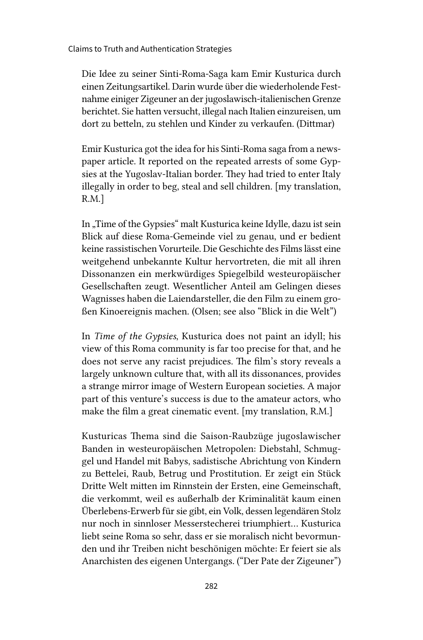Die Idee zu seiner Sinti-Roma-Saga kam Emir Kusturica durch einen Zeitungsartikel. Darin wurde über die wiederholende Festnahme einiger Zigeuner an der jugoslawisch-italienischen Grenze berichtet. Sie hatten versucht, illegal nach Italien einzureisen, um dort zu betteln, zu stehlen und Kinder zu verkaufen. (Dittmar)

Emir Kusturica got the idea for his Sinti-Roma saga from a newspaper article. It reported on the repeated arrests of some Gypsies at the Yugoslav-Italian border. They had tried to enter Italy illegally in order to beg, steal and sell children. [my translation, R.M.]

In "Time of the Gypsies" malt Kusturica keine Idylle, dazu ist sein Blick auf diese Roma-Gemeinde viel zu genau, und er bedient keine rassistischen Vorurteile. Die Geschichte des Films lässt eine weitgehend unbekannte Kultur hervortreten, die mit all ihren Dissonanzen ein merkwürdiges Spiegelbild westeuropäischer Gesellschaften zeugt. Wesentlicher Anteil am Gelingen dieses Wagnisses haben die Laiendarsteller, die den Film zu einem großen Kinoereignis machen. (Olsen; see also "Blick in die Welt")

In *Time of the Gypsies*, Kusturica does not paint an idyll; his view of this Roma community is far too precise for that, and he does not serve any racist prejudices. The film's story reveals a largely unknown culture that, with all its dissonances, provides a strange mirror image of Western European societies. A major part of this venture's success is due to the amateur actors, who make the film a great cinematic event. [my translation, R.M.]

Kusturicas Thema sind die Saison-Raubzüge jugoslawischer Banden in westeuropäischen Metropolen: Diebstahl, Schmuggel und Handel mit Babys, sadistische Abrichtung von Kindern zu Bettelei, Raub, Betrug und Prostitution. Er zeigt ein Stück Dritte Welt mitten im Rinnstein der Ersten, eine Gemeinschaft, die verkommt, weil es außerhalb der Kriminalität kaum einen Überlebens-Erwerb für sie gibt, ein Volk, dessen legendären Stolz nur noch in sinnloser Messerstecherei triumphiert… Kusturica liebt seine Roma so sehr, dass er sie moralisch nicht bevormunden und ihr Treiben nicht beschönigen möchte: Er feiert sie als Anarchisten des eigenen Untergangs. ("Der Pate der Zigeuner")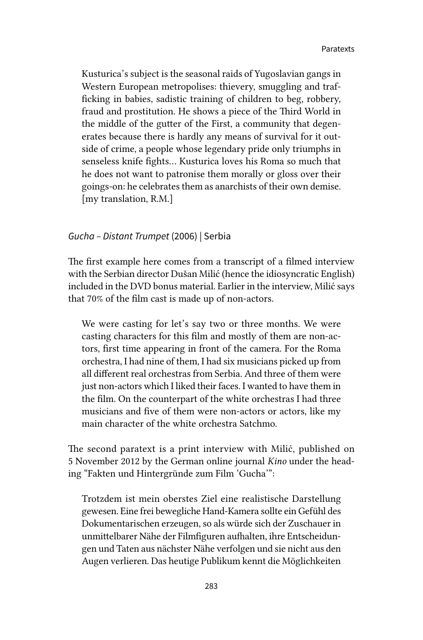Kusturica's subject is the seasonal raids of Yugoslavian gangs in Western European metropolises: thievery, smuggling and trafficking in babies, sadistic training of children to beg, robbery, fraud and prostitution. He shows a piece of the Third World in the middle of the gutter of the First, a community that degenerates because there is hardly any means of survival for it outside of crime, a people whose legendary pride only triumphs in senseless knife fights… Kusturica loves his Roma so much that he does not want to patronise them morally or gloss over their goings-on: he celebrates them as anarchists of their own demise. [my translation, R.M.]

#### *Gucha – Distant Trumpet* (2006) | Serbia

The first example here comes from a transcript of a filmed interview with the Serbian director Dušan Milić (hence the idiosyncratic English) included in the DVD bonus material. Earlier in the interview, Milić says that 70% of the film cast is made up of non-actors.

We were casting for let's say two or three months. We were casting characters for this film and mostly of them are non-actors, first time appearing in front of the camera. For the Roma orchestra, I had nine of them, I had six musicians picked up from all different real orchestras from Serbia. And three of them were just non-actors which I liked their faces. I wanted to have them in the film. On the counterpart of the white orchestras I had three musicians and five of them were non-actors or actors, like my main character of the white orchestra Satchmo.

The second paratext is a print interview with Milić, published on 5 November 2012 by the German online journal *Kino* under the heading "Fakten und Hintergründe zum Film 'Gucha'":

Trotzdem ist mein oberstes Ziel eine realistische Darstellung gewesen. Eine frei bewegliche Hand-Kamera sollte ein Gefühl des Dokumentarischen erzeugen, so als würde sich der Zuschauer in unmittelbarer Nähe der Filmfiguren aufhalten, ihre Entscheidungen und Taten aus nächster Nähe verfolgen und sie nicht aus den Augen verlieren. Das heutige Publikum kennt die Möglichkeiten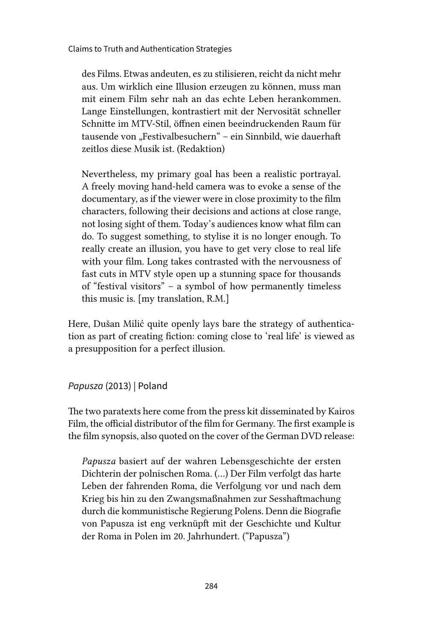des Films. Etwas andeuten, es zu stilisieren, reicht da nicht mehr aus. Um wirklich eine Illusion erzeugen zu können, muss man mit einem Film sehr nah an das echte Leben herankommen. Lange Einstellungen, kontrastiert mit der Nervosität schneller Schnitte im MTV-Stil, öffnen einen beeindruckenden Raum für tausende von "Festivalbesuchern" – ein Sinnbild, wie dauerhaft zeitlos diese Musik ist. (Redaktion)

Nevertheless, my primary goal has been a realistic portrayal. A freely moving hand-held camera was to evoke a sense of the documentary, as if the viewer were in close proximity to the film characters, following their decisions and actions at close range, not losing sight of them. Today's audiences know what film can do. To suggest something, to stylise it is no longer enough. To really create an illusion, you have to get very close to real life with your film. Long takes contrasted with the nervousness of fast cuts in MTV style open up a stunning space for thousands of "festival visitors" – a symbol of how permanently timeless this music is. [my translation, R.M.]

Here, Dušan Milić quite openly lays bare the strategy of authentication as part of creating fiction: coming close to 'real life' is viewed as a presupposition for a perfect illusion.

*Papusza* (2013) | Poland

The two paratexts here come from the press kit disseminated by Kairos Film, the official distributor of the film for Germany. The first example is the film synopsis, also quoted on the cover of the German DVD release:

*Papusza* basiert auf der wahren Lebensgeschichte der ersten Dichterin der polnischen Roma. (…) Der Film verfolgt das harte Leben der fahrenden Roma, die Verfolgung vor und nach dem Krieg bis hin zu den Zwangsmaßnahmen zur Sesshaftmachung durch die kommunistische Regierung Polens. Denn die Biografie von Papusza ist eng verknüpft mit der Geschichte und Kultur der Roma in Polen im 20. Jahrhundert. ("Papusza")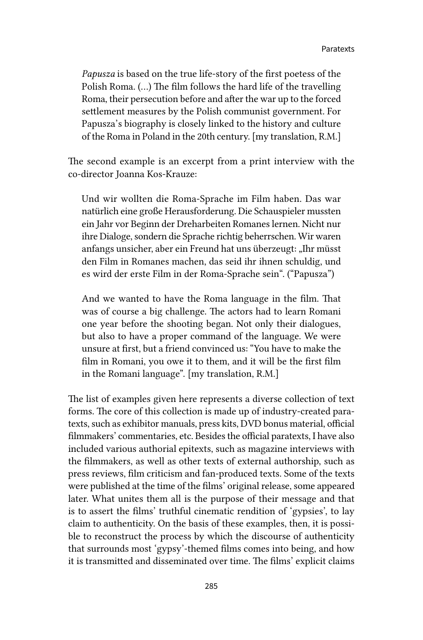*Papusza* is based on the true life-story of the first poetess of the Polish Roma. (…) The film follows the hard life of the travelling Roma, their persecution before and after the war up to the forced settlement measures by the Polish communist government. For Papusza's biography is closely linked to the history and culture of the Roma in Poland in the 20th century. [my translation, R.M.]

The second example is an excerpt from a print interview with the co-director Joanna Kos-Krauze:

Und wir wollten die Roma-Sprache im Film haben. Das war natürlich eine große Herausforderung. Die Schauspieler mussten ein Jahr vor Beginn der Dreharbeiten Romanes lernen. Nicht nur ihre Dialoge, sondern die Sprache richtig beherrschen. Wir waren anfangs unsicher, aber ein Freund hat uns überzeugt: "Ihr müsst den Film in Romanes machen, das seid ihr ihnen schuldig, und es wird der erste Film in der Roma-Sprache sein". ("Papusza")

And we wanted to have the Roma language in the film. That was of course a big challenge. The actors had to learn Romani one year before the shooting began. Not only their dialogues, but also to have a proper command of the language. We were unsure at first, but a friend convinced us: "You have to make the film in Romani, you owe it to them, and it will be the first film in the Romani language". [my translation, R.M.]

The list of examples given here represents a diverse collection of text forms. The core of this collection is made up of industry-created paratexts, such as exhibitor manuals, press kits, DVD bonus material, official filmmakers' commentaries, etc. Besides the official paratexts, I have also included various authorial epitexts, such as magazine interviews with the filmmakers, as well as other texts of external authorship, such as press reviews, film criticism and fan-produced texts. Some of the texts were published at the time of the films' original release, some appeared later. What unites them all is the purpose of their message and that is to assert the films' truthful cinematic rendition of 'gypsies', to lay claim to authenticity. On the basis of these examples, then, it is possible to reconstruct the process by which the discourse of authenticity that surrounds most 'gypsy'-themed films comes into being, and how it is transmitted and disseminated over time. The films' explicit claims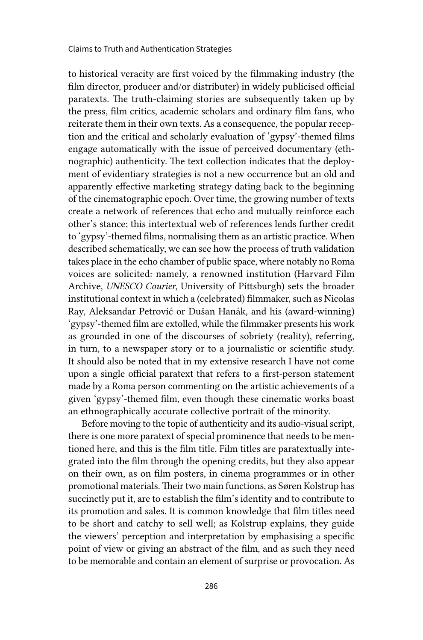to historical veracity are first voiced by the filmmaking industry (the film director, producer and/or distributer) in widely publicised official paratexts. The truth-claiming stories are subsequently taken up by the press, film critics, academic scholars and ordinary film fans, who reiterate them in their own texts. As a consequence, the popular reception and the critical and scholarly evaluation of 'gypsy'-themed films engage automatically with the issue of perceived documentary (ethnographic) authenticity. The text collection indicates that the deployment of evidentiary strategies is not a new occurrence but an old and apparently effective marketing strategy dating back to the beginning of the cinematographic epoch. Over time, the growing number of texts create a network of references that echo and mutually reinforce each other's stance; this intertextual web of references lends further credit to 'gypsy'-themed films, normalising them as an artistic practice. When described schematically, we can see how the process of truth validation takes place in the echo chamber of public space, where notably no Roma voices are solicited: namely, a renowned institution (Harvard Film Archive, *UNESCO Courier*, University of Pittsburgh) sets the broader institutional context in which a (celebrated) filmmaker, such as Nicolas Ray, Aleksandar Petrović or Dušan Hanák, and his (award-winning) 'gypsy'-themed film are extolled, while the filmmaker presents his work as grounded in one of the discourses of sobriety (reality), referring, in turn, to a newspaper story or to a journalistic or scientific study. It should also be noted that in my extensive research I have not come upon a single official paratext that refers to a first-person statement made by a Roma person commenting on the artistic achievements of a given 'gypsy'-themed film, even though these cinematic works boast an ethnographically accurate collective portrait of the minority.

Before moving to the topic of authenticity and its audio-visual script, there is one more paratext of special prominence that needs to be mentioned here, and this is the film title. Film titles are paratextually integrated into the film through the opening credits, but they also appear on their own, as on film posters, in cinema programmes or in other promotional materials. Their two main functions, as Søren Kolstrup has succinctly put it, are to establish the film's identity and to contribute to its promotion and sales. It is common knowledge that film titles need to be short and catchy to sell well; as Kolstrup explains, they guide the viewers' perception and interpretation by emphasising a specific point of view or giving an abstract of the film, and as such they need to be memorable and contain an element of surprise or provocation. As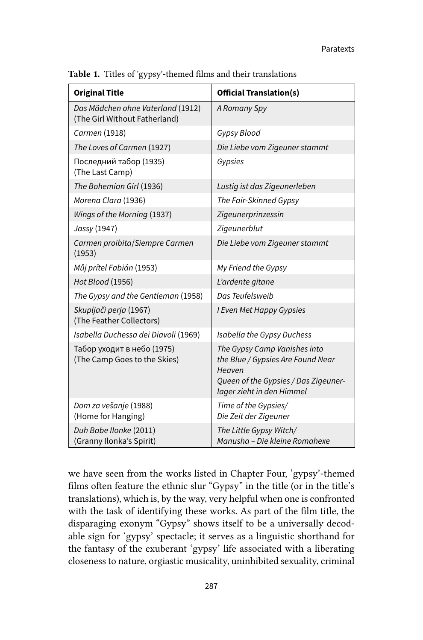| <b>Original Title</b>                                              | <b>Official Translation(s)</b>                                                                                                                   |
|--------------------------------------------------------------------|--------------------------------------------------------------------------------------------------------------------------------------------------|
| Das Mädchen ohne Vaterland (1912)<br>(The Girl Without Fatherland) | A Romany Spy                                                                                                                                     |
| Carmen (1918)                                                      | Gypsy Blood                                                                                                                                      |
| The Loves of Carmen (1927)                                         | Die Liebe vom Zigeuner stammt                                                                                                                    |
| Последний табор (1935)<br>(The Last Camp)                          | Gypsies                                                                                                                                          |
| The Bohemian Girl (1936)                                           | Lustig ist das Zigeunerleben                                                                                                                     |
| Morena Clara (1936)                                                | The Fair-Skinned Gypsy                                                                                                                           |
| Wings of the Morning (1937)                                        | Zigeunerprinzessin                                                                                                                               |
| Jassy (1947)                                                       | Zigeunerblut                                                                                                                                     |
| Carmen proibita/Siempre Carmen<br>(1953)                           | Die Liebe vom Zigeuner stammt                                                                                                                    |
| Můj prítel Fabián (1953)                                           | My Friend the Gypsy                                                                                                                              |
| Hot Blood (1956)                                                   | L'ardente gitane                                                                                                                                 |
| The Gypsy and the Gentleman (1958)                                 | Das Teufelsweib                                                                                                                                  |
| Skupljači perja (1967)<br>(The Feather Collectors)                 | I Even Met Happy Gypsies                                                                                                                         |
| Isabella Duchessa dei Diavoli (1969)                               | Isabella the Gypsy Duchess                                                                                                                       |
| Табор уходит в небо (1975)<br>(The Camp Goes to the Skies)         | The Gypsy Camp Vanishes into<br>the Blue / Gypsies Are Found Near<br>Heaven<br>Queen of the Gypsies / Das Zigeuner-<br>lager zieht in den Himmel |
| Dom za vešanje (1988)<br>(Home for Hanging)                        | Time of the Gypsies/<br>Die Zeit der Zigeuner                                                                                                    |
| Duh Babe Ilonke (2011)<br>(Granny Ilonka's Spirit)                 | The Little Gypsy Witch/<br>Manusha – Die kleine Romahexe                                                                                         |

Table 1. Titles of 'gypsy'-themed films and their translations

we have seen from the works listed in Chapter Four, 'gypsy'-themed films often feature the ethnic slur "Gypsy" in the title (or in the title's translations), which is, by the way, very helpful when one is confronted with the task of identifying these works. As part of the film title, the disparaging exonym "Gypsy" shows itself to be a universally decodable sign for 'gypsy' spectacle; it serves as a linguistic shorthand for the fantasy of the exuberant 'gypsy' life associated with a liberating closeness to nature, orgiastic musicality, uninhibited sexuality, criminal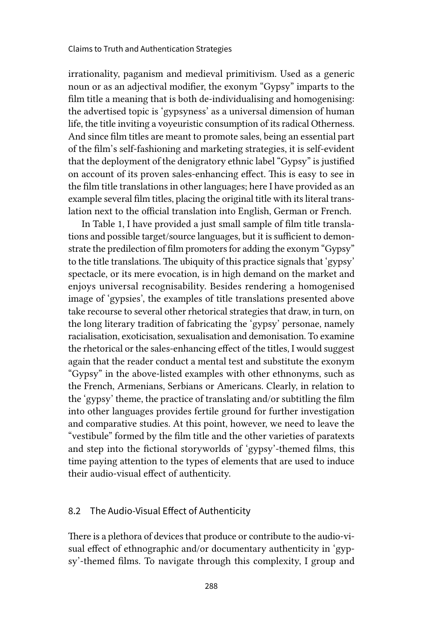irrationality, paganism and medieval primitivism. Used as a generic noun or as an adjectival modifier, the exonym "Gypsy" imparts to the film title a meaning that is both de-individualising and homogenising: the advertised topic is 'gypsyness' as a universal dimension of human life, the title inviting a voyeuristic consumption of its radical Otherness. And since film titles are meant to promote sales, being an essential part of the film's self-fashioning and marketing strategies, it is self-evident that the deployment of the denigratory ethnic label "Gypsy" is justified on account of its proven sales-enhancing effect. This is easy to see in the film title translations in other languages; here I have provided as an example several film titles, placing the original title with its literal translation next to the official translation into English, German or French.

In Table 1, I have provided a just small sample of film title translations and possible target/source languages, but it is sufficient to demonstrate the predilection of film promoters for adding the exonym "Gypsy" to the title translations. The ubiquity of this practice signals that 'gypsy' spectacle, or its mere evocation, is in high demand on the market and enjoys universal recognisability. Besides rendering a homogenised image of 'gypsies', the examples of title translations presented above take recourse to several other rhetorical strategies that draw, in turn, on the long literary tradition of fabricating the 'gypsy' personae, namely racialisation, exoticisation, sexualisation and demonisation. To examine the rhetorical or the sales-enhancing effect of the titles, I would suggest again that the reader conduct a mental test and substitute the exonym "Gypsy" in the above-listed examples with other ethnonyms, such as the French, Armenians, Serbians or Americans. Clearly, in relation to the 'gypsy' theme, the practice of translating and/or subtitling the film into other languages provides fertile ground for further investigation and comparative studies. At this point, however, we need to leave the "vestibule" formed by the film title and the other varieties of paratexts and step into the fictional storyworlds of 'gypsy'-themed films, this time paying attention to the types of elements that are used to induce their audio-visual effect of authenticity.

### 8.2 The Audio-Visual Effect of Authenticity

There is a plethora of devices that produce or contribute to the audio-visual effect of ethnographic and/or documentary authenticity in 'gypsy'-themed films. To navigate through this complexity, I group and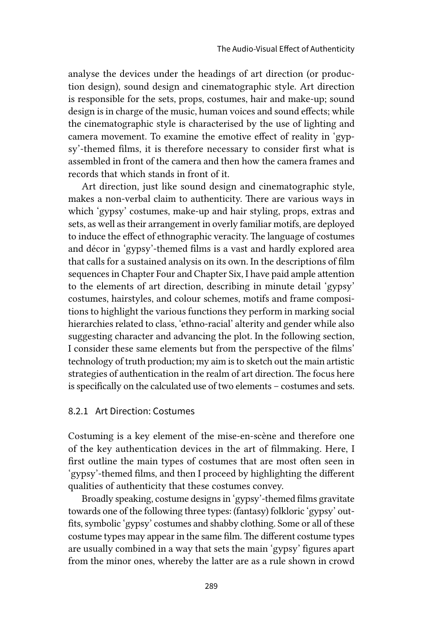analyse the devices under the headings of art direction (or production design), sound design and cinematographic style. Art direction is responsible for the sets, props, costumes, hair and make-up; sound design is in charge of the music, human voices and sound effects; while the cinematographic style is characterised by the use of lighting and camera movement. To examine the emotive effect of reality in 'gypsy'-themed films, it is therefore necessary to consider first what is assembled in front of the camera and then how the camera frames and records that which stands in front of it.

Art direction, just like sound design and cinematographic style, makes a non-verbal claim to authenticity. There are various ways in which 'gypsy' costumes, make-up and hair styling, props, extras and sets, as well as their arrangement in overly familiar motifs, are deployed to induce the effect of ethnographic veracity. The language of costumes and décor in 'gypsy'-themed films is a vast and hardly explored area that calls for a sustained analysis on its own. In the descriptions of film sequences in Chapter Four and Chapter Six, I have paid ample attention to the elements of art direction, describing in minute detail 'gypsy' costumes, hairstyles, and colour schemes, motifs and frame compositions to highlight the various functions they perform in marking social hierarchies related to class, 'ethno-racial' alterity and gender while also suggesting character and advancing the plot. In the following section, I consider these same elements but from the perspective of the films' technology of truth production; my aim is to sketch out the main artistic strategies of authentication in the realm of art direction. The focus here is specifically on the calculated use of two elements – costumes and sets.

## 8.2.1 Art Direction: Costumes

Costuming is a key element of the mise-en-scène and therefore one of the key authentication devices in the art of filmmaking. Here, I first outline the main types of costumes that are most often seen in 'gypsy'-themed films, and then I proceed by highlighting the different qualities of authenticity that these costumes convey.

Broadly speaking, costume designs in 'gypsy'-themed films gravitate towards one of the following three types: (fantasy) folkloric 'gypsy' outfits, symbolic 'gypsy' costumes and shabby clothing. Some or all of these costume types may appear in the same film. The different costume types are usually combined in a way that sets the main 'gypsy' figures apart from the minor ones, whereby the latter are as a rule shown in crowd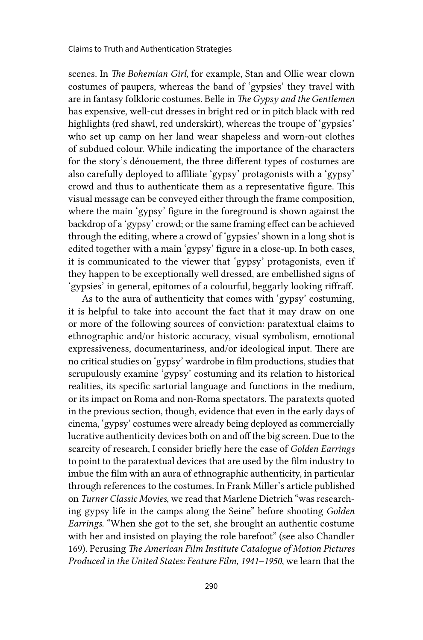scenes. In *The Bohemian Girl*, for example, Stan and Ollie wear clown costumes of paupers, whereas the band of 'gypsies' they travel with are in fantasy folkloric costumes. Belle in *The Gypsy and the Gentlemen* has expensive, well-cut dresses in bright red or in pitch black with red highlights (red shawl, red underskirt), whereas the troupe of 'gypsies' who set up camp on her land wear shapeless and worn-out clothes of subdued colour. While indicating the importance of the characters for the story's dénouement, the three different types of costumes are also carefully deployed to affiliate 'gypsy' protagonists with a 'gypsy' crowd and thus to authenticate them as a representative figure. This visual message can be conveyed either through the frame composition, where the main 'gypsy' figure in the foreground is shown against the backdrop of a 'gypsy' crowd; or the same framing effect can be achieved through the editing, where a crowd of 'gypsies' shown in a long shot is edited together with a main 'gypsy' figure in a close-up. In both cases, it is communicated to the viewer that 'gypsy' protagonists, even if they happen to be exceptionally well dressed, are embellished signs of 'gypsies' in general, epitomes of a colourful, beggarly looking riffraff.

As to the aura of authenticity that comes with 'gypsy' costuming, it is helpful to take into account the fact that it may draw on one or more of the following sources of conviction: paratextual claims to ethnographic and/or historic accuracy, visual symbolism, emotional expressiveness, documentariness, and/or ideological input. There are no critical studies on 'gypsy' wardrobe in film productions, studies that scrupulously examine 'gypsy' costuming and its relation to historical realities, its specific sartorial language and functions in the medium, or its impact on Roma and non-Roma spectators. The paratexts quoted in the previous section, though, evidence that even in the early days of cinema, 'gypsy' costumes were already being deployed as commercially lucrative authenticity devices both on and off the big screen. Due to the scarcity of research, I consider briefly here the case of *Golden Earrings* to point to the paratextual devices that are used by the film industry to imbue the film with an aura of ethnographic authenticity, in particular through references to the costumes. In Frank Miller's article published on *Turner Classic Movies*, we read that Marlene Dietrich "was researching gypsy life in the camps along the Seine" before shooting *Golden Earrings*. "When she got to the set, she brought an authentic costume with her and insisted on playing the role barefoot" (see also Chandler 169). Perusing *The American Film Institute Catalogue of Motion Pictures Produced in the United States: Feature Film, 1941–1950*, we learn that the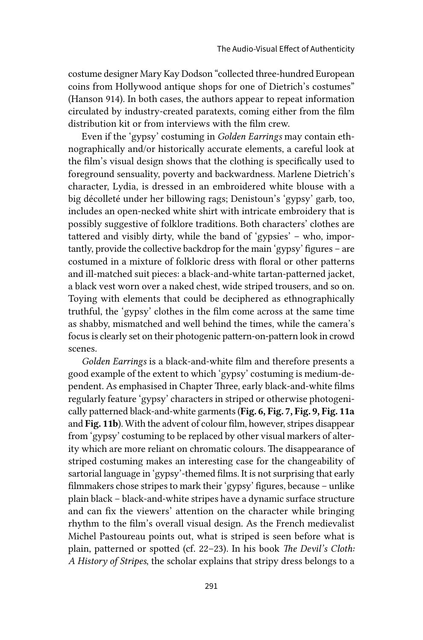costume designer Mary Kay Dodson "collected three-hundred European coins from Hollywood antique shops for one of Dietrich's costumes" (Hanson 914). In both cases, the authors appear to repeat information circulated by industry-created paratexts, coming either from the film distribution kit or from interviews with the film crew.

Even if the 'gypsy' costuming in *Golden Earrings* may contain ethnographically and/or historically accurate elements, a careful look at the film's visual design shows that the clothing is specifically used to foreground sensuality, poverty and backwardness. Marlene Dietrich's character, Lydia, is dressed in an embroidered white blouse with a big décolleté under her billowing rags; Denistoun's 'gypsy' garb, too, includes an open-necked white shirt with intricate embroidery that is possibly suggestive of folklore traditions. Both characters' clothes are tattered and visibly dirty, while the band of 'gypsies' – who, importantly, provide the collective backdrop for the main 'gypsy' figures – are costumed in a mixture of folkloric dress with floral or other patterns and ill-matched suit pieces: a black-and-white tartan-patterned jacket, a black vest worn over a naked chest, wide striped trousers, and so on. Toying with elements that could be deciphered as ethnographically truthful, the 'gypsy' clothes in the film come across at the same time as shabby, mismatched and well behind the times, while the camera's focus is clearly set on their photogenic pattern-on-pattern look in crowd scenes.

*Golden Earrings* is a black-and-white film and therefore presents a good example of the extent to which 'gypsy' costuming is medium-dependent. As emphasised in Chapter Three, early black-and-white films regularly feature 'gypsy' characters in striped or otherwise photogenically patterned black-and-white garments (Fig. 6, Fig. 7, Fig. 9, Fig. 11a and Fig. 11b). With the advent of colour film, however, stripes disappear from 'gypsy' costuming to be replaced by other visual markers of alterity which are more reliant on chromatic colours. The disappearance of striped costuming makes an interesting case for the changeability of sartorial language in 'gypsy'-themed films. It is not surprising that early filmmakers chose stripes to mark their 'gypsy' figures, because – unlike plain black – black-and-white stripes have a dynamic surface structure and can fix the viewers' attention on the character while bringing rhythm to the film's overall visual design. As the French medievalist Michel Pastoureau points out, what is striped is seen before what is plain, patterned or spotted (cf. 22–23). In his book *The Devil's Cloth: A History of Stripes*, the scholar explains that stripy dress belongs to a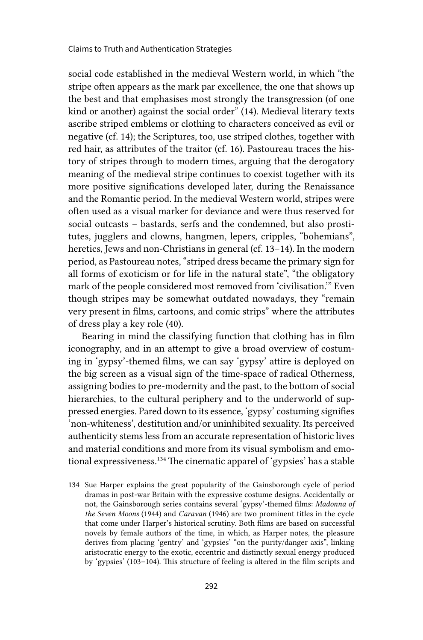social code established in the medieval Western world, in which "the stripe often appears as the mark par excellence, the one that shows up the best and that emphasises most strongly the transgression (of one kind or another) against the social order" (14). Medieval literary texts ascribe striped emblems or clothing to characters conceived as evil or negative (cf. 14); the Scriptures, too, use striped clothes, together with red hair, as attributes of the traitor (cf. 16). Pastoureau traces the history of stripes through to modern times, arguing that the derogatory meaning of the medieval stripe continues to coexist together with its more positive significations developed later, during the Renaissance and the Romantic period. In the medieval Western world, stripes were often used as a visual marker for deviance and were thus reserved for social outcasts – bastards, serfs and the condemned, but also prostitutes, jugglers and clowns, hangmen, lepers, cripples, "bohemians", heretics, Jews and non-Christians in general (cf. 13–14). In the modern period, as Pastoureau notes, "striped dress became the primary sign for all forms of exoticism or for life in the natural state", "the obligatory mark of the people considered most removed from 'civilisation.'" Even though stripes may be somewhat outdated nowadays, they "remain very present in films, cartoons, and comic strips" where the attributes of dress play a key role (40).

Bearing in mind the classifying function that clothing has in film iconography, and in an attempt to give a broad overview of costuming in 'gypsy'-themed films, we can say 'gypsy' attire is deployed on the big screen as a visual sign of the time-space of radical Otherness, assigning bodies to pre-modernity and the past, to the bottom of social hierarchies, to the cultural periphery and to the underworld of suppressed energies. Pared down to its essence, 'gypsy' costuming signifies 'non-whiteness', destitution and/or uninhibited sexuality. Its perceived authenticity stems less from an accurate representation of historic lives and material conditions and more from its visual symbolism and emotional expressiveness.<sup>134</sup> The cinematic apparel of 'gypsies' has a stable

134 Sue Harper explains the great popularity of the Gainsborough cycle of period dramas in post-war Britain with the expressive costume designs. Accidentally or not, the Gainsborough series contains several 'gypsy'-themed films: *Madonna of the Seven Moons* (1944) and *Caravan* (1946) are two prominent titles in the cycle that come under Harper's historical scrutiny. Both films are based on successful novels by female authors of the time, in which, as Harper notes, the pleasure derives from placing 'gentry' and 'gypsies' "on the purity/danger axis", linking aristocratic energy to the exotic, eccentric and distinctly sexual energy produced by 'gypsies' (103–104). This structure of feeling is altered in the film scripts and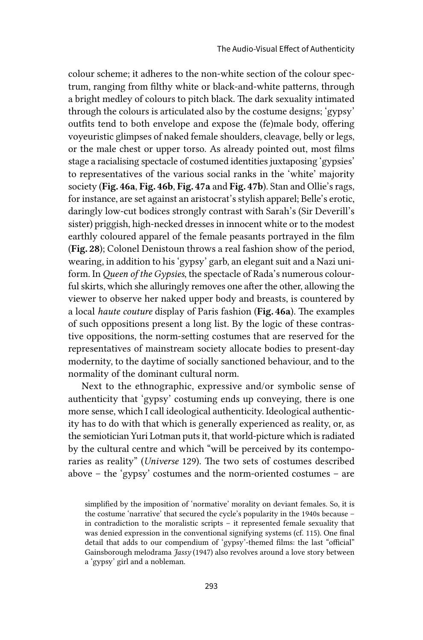colour scheme; it adheres to the non-white section of the colour spectrum, ranging from filthy white or black-and-white patterns, through a bright medley of colours to pitch black. The dark sexuality intimated through the colours is articulated also by the costume designs; 'gypsy' outfits tend to both envelope and expose the (fe)male body, offering voyeuristic glimpses of naked female shoulders, cleavage, belly or legs, or the male chest or upper torso. As already pointed out, most films stage a racialising spectacle of costumed identities juxtaposing 'gypsies' to representatives of the various social ranks in the 'white' majority society (Fig. 46a, Fig. 46b, Fig. 47a and Fig. 47b). Stan and Ollie's rags, for instance, are set against an aristocrat's stylish apparel; Belle's erotic, daringly low-cut bodices strongly contrast with Sarah's (Sir Deverill's sister) priggish, high-necked dresses in innocent white or to the modest earthly coloured apparel of the female peasants portrayed in the film (Fig. 28); Colonel Denistoun throws a real fashion show of the period, wearing, in addition to his 'gypsy' garb, an elegant suit and a Nazi uniform. In *Queen of the Gypsies*, the spectacle of Rada's numerous colourful skirts, which she alluringly removes one after the other, allowing the viewer to observe her naked upper body and breasts, is countered by a local *haute couture* display of Paris fashion (Fig. 46a). The examples of such oppositions present a long list. By the logic of these contrastive oppositions, the norm-setting costumes that are reserved for the representatives of mainstream society allocate bodies to present-day modernity, to the daytime of socially sanctioned behaviour, and to the normality of the dominant cultural norm.

Next to the ethnographic, expressive and/or symbolic sense of authenticity that 'gypsy' costuming ends up conveying, there is one more sense, which I call ideological authenticity. Ideological authenticity has to do with that which is generally experienced as reality, or, as the semiotician Yuri Lotman puts it, that world-picture which is radiated by the cultural centre and which "will be perceived by its contemporaries as reality" (*Universe* 129). The two sets of costumes described above – the 'gypsy' costumes and the norm-oriented costumes – are

simplified by the imposition of 'normative' morality on deviant females. So, it is the costume 'narrative' that secured the cycle's popularity in the 1940s because – in contradiction to the moralistic scripts – it represented female sexuality that was denied expression in the conventional signifying systems (cf. 115). One final detail that adds to our compendium of 'gypsy'-themed films: the last "official" Gainsborough melodrama *Jassy* (1947) also revolves around a love story between a 'gypsy' girl and a nobleman.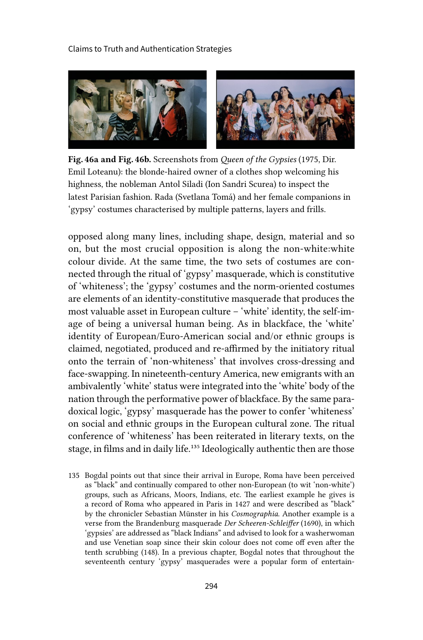

Fig. 46a and Fig. 46b. Screenshots from *Queen of the Gypsies* (1975, Dir. Emil Loteanu): the blonde-haired owner of a clothes shop welcoming his highness, the nobleman Antol Siladi (Ion Sandri Scurea) to inspect the latest Parisian fashion. Rada (Svetlana Tomá) and her female companions in 'gypsy' costumes characterised by multiple patterns, layers and frills.

opposed along many lines, including shape, design, material and so on, but the most crucial opposition is along the non-white:white colour divide. At the same time, the two sets of costumes are connected through the ritual of 'gypsy' masquerade, which is constitutive of 'whiteness'; the 'gypsy' costumes and the norm-oriented costumes are elements of an identity-constitutive masquerade that produces the most valuable asset in European culture – 'white' identity, the self-image of being a universal human being. As in blackface, the 'white' identity of European/Euro-American social and/or ethnic groups is claimed, negotiated, produced and re-affirmed by the initiatory ritual onto the terrain of 'non-whiteness' that involves cross-dressing and face-swapping. In nineteenth-century America, new emigrants with an ambivalently 'white' status were integrated into the 'white' body of the nation through the performative power of blackface. By the same paradoxical logic, 'gypsy' masquerade has the power to confer 'whiteness' on social and ethnic groups in the European cultural zone. The ritual conference of 'whiteness' has been reiterated in literary texts, on the stage, in films and in daily life.<sup>135</sup> Ideologically authentic then are those

135 Bogdal points out that since their arrival in Europe, Roma have been perceived as "black" and continually compared to other non-European (to wit 'non-white') groups, such as Africans, Moors, Indians, etc. The earliest example he gives is a record of Roma who appeared in Paris in 1427 and were described as "black" by the chronicler Sebastian Münster in his *Cosmographia*. Another example is a verse from the Brandenburg masquerade *Der Scheeren-Schleiffer* (1690), in which 'gypsies' are addressed as "black Indians" and advised to look for a washerwoman and use Venetian soap since their skin colour does not come off even after the tenth scrubbing (148). In a previous chapter, Bogdal notes that throughout the seventeenth century 'gypsy' masquerades were a popular form of entertain-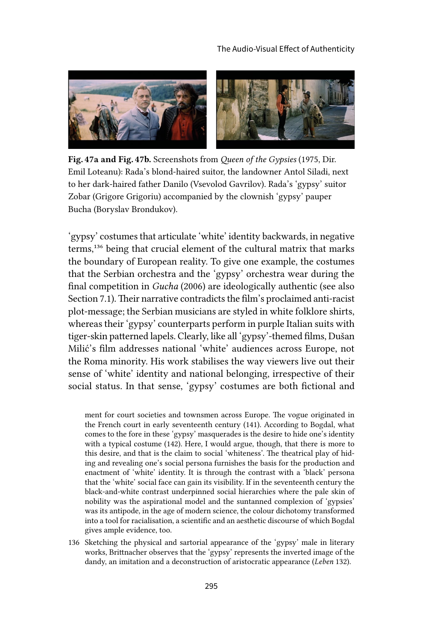

Fig. 47a and Fig. 47b. Screenshots from *Queen of the Gypsies* (1975, Dir. Emil Loteanu): Rada's blond-haired suitor, the landowner Antol Siladi, next to her dark-haired father Danilo (Vsevolod Gavrilov). Rada's 'gypsy' suitor Zobar (Grigore Grigoriu) accompanied by the clownish 'gypsy' pauper Bucha (Boryslav Brondukov).

'gypsy' costumes that articulate 'white' identity backwards, in negative terms,136 being that crucial element of the cultural matrix that marks the boundary of European reality. To give one example, the costumes that the Serbian orchestra and the 'gypsy' orchestra wear during the final competition in *Gucha* (2006) are ideologically authentic (see also Section 7.1). Their narrative contradicts the film's proclaimed anti-racist plot-message; the Serbian musicians are styled in white folklore shirts, whereas their 'gypsy' counterparts perform in purple Italian suits with tiger-skin patterned lapels. Clearly, like all 'gypsy'-themed films, Dušan Milić's film addresses national 'white' audiences across Europe, not the Roma minority. His work stabilises the way viewers live out their sense of 'white' identity and national belonging, irrespective of their social status. In that sense, 'gypsy' costumes are both fictional and

ment for court societies and townsmen across Europe. The vogue originated in the French court in early seventeenth century (141). According to Bogdal, what comes to the fore in these 'gypsy' masquerades is the desire to hide one's identity with a typical costume (142). Here, I would argue, though, that there is more to this desire, and that is the claim to social 'whiteness'. The theatrical play of hiding and revealing one's social persona furnishes the basis for the production and enactment of 'white' identity. It is through the contrast with a 'black' persona that the 'white' social face can gain its visibility. If in the seventeenth century the black-and-white contrast underpinned social hierarchies where the pale skin of nobility was the aspirational model and the suntanned complexion of 'gypsies' was its antipode, in the age of modern science, the colour dichotomy transformed into a tool for racialisation, a scientific and an aesthetic discourse of which Bogdal gives ample evidence, too.

136 Sketching the physical and sartorial appearance of the 'gypsy' male in literary works, Brittnacher observes that the 'gypsy' represents the inverted image of the dandy, an imitation and a deconstruction of aristocratic appearance (*Leben* 132).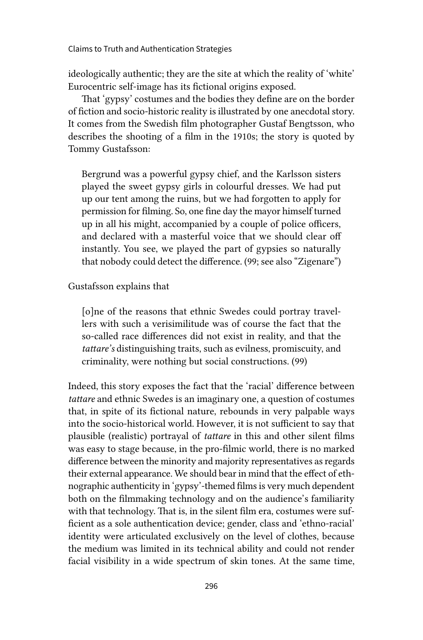ideologically authentic; they are the site at which the reality of 'white' Eurocentric self-image has its fictional origins exposed.

That 'gypsy' costumes and the bodies they define are on the border of fiction and socio-historic reality is illustrated by one anecdotal story. It comes from the Swedish film photographer Gustaf Bengtsson, who describes the shooting of a film in the 1910s; the story is quoted by Tommy Gustafsson:

Bergrund was a powerful gypsy chief, and the Karlsson sisters played the sweet gypsy girls in colourful dresses. We had put up our tent among the ruins, but we had forgotten to apply for permission for filming. So, one fine day the mayor himself turned up in all his might, accompanied by a couple of police officers, and declared with a masterful voice that we should clear off instantly. You see, we played the part of gypsies so naturally that nobody could detect the difference. (99; see also "Zigenare")

Gustafsson explains that

[o]ne of the reasons that ethnic Swedes could portray travellers with such a verisimilitude was of course the fact that the so-called race differences did not exist in reality, and that the *tattare's* distinguishing traits, such as evilness, promiscuity, and criminality, were nothing but social constructions. (99)

Indeed, this story exposes the fact that the 'racial' difference between *tattare* and ethnic Swedes is an imaginary one, a question of costumes that, in spite of its fictional nature, rebounds in very palpable ways into the socio-historical world. However, it is not sufficient to say that plausible (realistic) portrayal of *tattare* in this and other silent films was easy to stage because, in the pro-filmic world, there is no marked difference between the minority and majority representatives as regards their external appearance. We should bear in mind that the effect of ethnographic authenticity in 'gypsy'-themed films is very much dependent both on the filmmaking technology and on the audience's familiarity with that technology. That is, in the silent film era, costumes were sufficient as a sole authentication device; gender, class and 'ethno-racial' identity were articulated exclusively on the level of clothes, because the medium was limited in its technical ability and could not render facial visibility in a wide spectrum of skin tones. At the same time,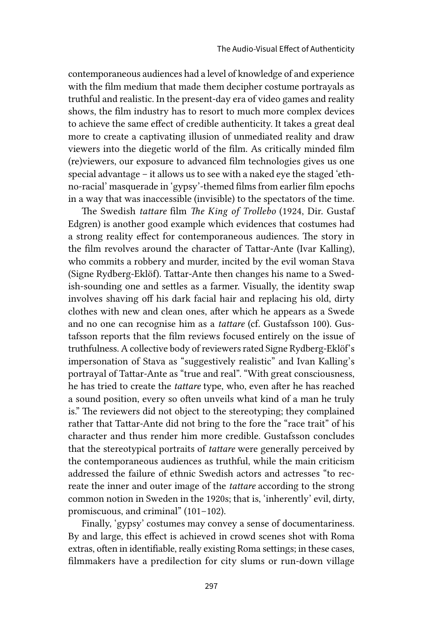contemporaneous audiences had a level of knowledge of and experience with the film medium that made them decipher costume portrayals as truthful and realistic. In the present-day era of video games and reality shows, the film industry has to resort to much more complex devices to achieve the same effect of credible authenticity. It takes a great deal more to create a captivating illusion of unmediated reality and draw viewers into the diegetic world of the film. As critically minded film (re)viewers, our exposure to advanced film technologies gives us one special advantage – it allows us to see with a naked eye the staged 'ethno-racial' masquerade in 'gypsy'-themed films from earlier film epochs in a way that was inaccessible (invisible) to the spectators of the time.

The Swedish *tattare* film *The King of Trollebo* (1924, Dir. Gustaf Edgren) is another good example which evidences that costumes had a strong reality effect for contemporaneous audiences. The story in the film revolves around the character of Tattar-Ante (Ivar Kalling), who commits a robbery and murder, incited by the evil woman Stava (Signe Rydberg-Eklöf). Tattar-Ante then changes his name to a Swedish-sounding one and settles as a farmer. Visually, the identity swap involves shaving off his dark facial hair and replacing his old, dirty clothes with new and clean ones, after which he appears as a Swede and no one can recognise him as a *tattare* (cf. Gustafsson 100). Gustafsson reports that the film reviews focused entirely on the issue of truthfulness. A collective body of reviewers rated Signe Rydberg-Eklöf's impersonation of Stava as "suggestively realistic" and Ivan Kalling's portrayal of Tattar-Ante as "true and real". "With great consciousness, he has tried to create the *tattare* type, who, even after he has reached a sound position, every so often unveils what kind of a man he truly is." The reviewers did not object to the stereotyping; they complained rather that Tattar-Ante did not bring to the fore the "race trait" of his character and thus render him more credible. Gustafsson concludes that the stereotypical portraits of *tattare* were generally perceived by the contemporaneous audiences as truthful, while the main criticism addressed the failure of ethnic Swedish actors and actresses "to recreate the inner and outer image of the *tattare* according to the strong common notion in Sweden in the 1920s; that is, 'inherently' evil, dirty, promiscuous, and criminal" (101–102).

Finally, 'gypsy' costumes may convey a sense of documentariness. By and large, this effect is achieved in crowd scenes shot with Roma extras, often in identifiable, really existing Roma settings; in these cases, filmmakers have a predilection for city slums or run-down village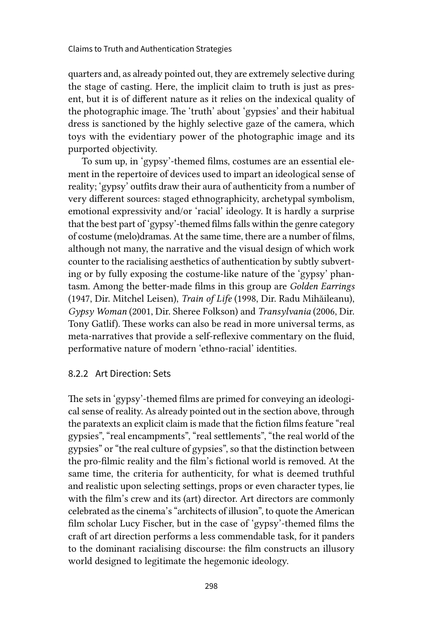quarters and, as already pointed out, they are extremely selective during the stage of casting. Here, the implicit claim to truth is just as present, but it is of different nature as it relies on the indexical quality of the photographic image. The 'truth' about 'gypsies' and their habitual dress is sanctioned by the highly selective gaze of the camera, which toys with the evidentiary power of the photographic image and its purported objectivity.

To sum up, in 'gypsy'-themed films, costumes are an essential element in the repertoire of devices used to impart an ideological sense of reality; 'gypsy' outfits draw their aura of authenticity from a number of very different sources: staged ethnographicity, archetypal symbolism, emotional expressivity and/or 'racial' ideology. It is hardly a surprise that the best part of 'gypsy'-themed films falls within the genre category of costume (melo)dramas. At the same time, there are a number of films, although not many, the narrative and the visual design of which work counter to the racialising aesthetics of authentication by subtly subverting or by fully exposing the costume-like nature of the 'gypsy' phantasm. Among the better-made films in this group are *Golden Earrings* (1947, Dir. Mitchel Leisen), *Train of Life* (1998, Dir. Radu Mihăileanu), *Gypsy Woman* (2001, Dir. Sheree Folkson) and *Transylvania* (2006, Dir. Tony Gatlif). These works can also be read in more universal terms, as meta-narratives that provide a self-reflexive commentary on the fluid, performative nature of modern 'ethno-racial' identities.

### 8.2.2 Art Direction: Sets

The sets in 'gypsy'-themed films are primed for conveying an ideological sense of reality. As already pointed out in the section above, through the paratexts an explicit claim is made that the fiction films feature "real gypsies", "real encampments", "real settlements", "the real world of the gypsies" or "the real culture of gypsies", so that the distinction between the pro-filmic reality and the film's fictional world is removed. At the same time, the criteria for authenticity, for what is deemed truthful and realistic upon selecting settings, props or even character types, lie with the film's crew and its (art) director. Art directors are commonly celebrated as the cinema's "architects of illusion", to quote the American film scholar Lucy Fischer, but in the case of 'gypsy'-themed films the craft of art direction performs a less commendable task, for it panders to the dominant racialising discourse: the film constructs an illusory world designed to legitimate the hegemonic ideology.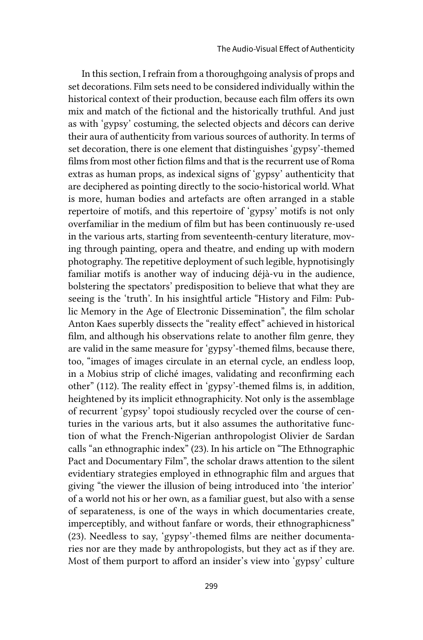In this section, I refrain from a thoroughgoing analysis of props and set decorations. Film sets need to be considered individually within the historical context of their production, because each film offers its own mix and match of the fictional and the historically truthful. And just as with 'gypsy' costuming, the selected objects and décors can derive their aura of authenticity from various sources of authority. In terms of set decoration, there is one element that distinguishes 'gypsy'-themed films from most other fiction films and that is the recurrent use of Roma extras as human props, as indexical signs of 'gypsy' authenticity that are deciphered as pointing directly to the socio-historical world. What is more, human bodies and artefacts are often arranged in a stable repertoire of motifs, and this repertoire of 'gypsy' motifs is not only overfamiliar in the medium of film but has been continuously re-used in the various arts, starting from seventeenth-century literature, moving through painting, opera and theatre, and ending up with modern photography. The repetitive deployment of such legible, hypnotisingly familiar motifs is another way of inducing déjà-vu in the audience, bolstering the spectators' predisposition to believe that what they are seeing is the 'truth'. In his insightful article "History and Film: Public Memory in the Age of Electronic Dissemination", the film scholar Anton Kaes superbly dissects the "reality effect" achieved in historical film, and although his observations relate to another film genre, they are valid in the same measure for 'gypsy'-themed films, because there, too, "images of images circulate in an eternal cycle, an endless loop, in a Mobius strip of cliché images, validating and reconfirming each other" (112). The reality effect in 'gypsy'-themed films is, in addition, heightened by its implicit ethnographicity. Not only is the assemblage of recurrent 'gypsy' topoi studiously recycled over the course of centuries in the various arts, but it also assumes the authoritative function of what the French-Nigerian anthropologist Olivier de Sardan calls "an ethnographic index" (23). In his article on "The Ethnographic Pact and Documentary Film", the scholar draws attention to the silent evidentiary strategies employed in ethnographic film and argues that giving "the viewer the illusion of being introduced into 'the interior' of a world not his or her own, as a familiar guest, but also with a sense of separateness, is one of the ways in which documentaries create, imperceptibly, and without fanfare or words, their ethnographicness" (23). Needless to say, 'gypsy'-themed films are neither documentaries nor are they made by anthropologists, but they act as if they are. Most of them purport to afford an insider's view into 'gypsy' culture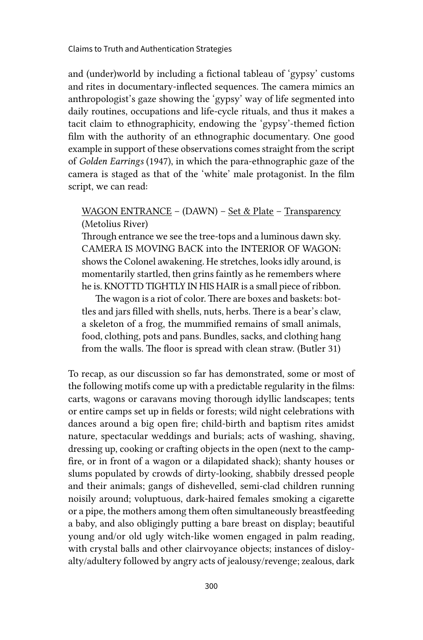and (under)world by including a fictional tableau of 'gypsy' customs and rites in documentary-inflected sequences. The camera mimics an anthropologist's gaze showing the 'gypsy' way of life segmented into daily routines, occupations and life-cycle rituals, and thus it makes a tacit claim to ethnographicity, endowing the 'gypsy'-themed fiction film with the authority of an ethnographic documentary. One good example in support of these observations comes straight from the script of *Golden Earrings* (1947), in which the para-ethnographic gaze of the camera is staged as that of the 'white' male protagonist. In the film script, we can read:

# WAGON ENTRANCE – (DAWN) – Set & Plate – Transparency (Metolius River)

Through entrance we see the tree-tops and a luminous dawn sky. CAMERA IS MOVING BACK into the INTERIOR OF WAGON: shows the Colonel awakening. He stretches, looks idly around, is momentarily startled, then grins faintly as he remembers where he is. KNOTTD TIGHTLY IN HIS HAIR is a small piece of ribbon.

The wagon is a riot of color. There are boxes and baskets: bottles and jars filled with shells, nuts, herbs. There is a bear's claw, a skeleton of a frog, the mummified remains of small animals, food, clothing, pots and pans. Bundles, sacks, and clothing hang from the walls. The floor is spread with clean straw. (Butler 31)

To recap, as our discussion so far has demonstrated, some or most of the following motifs come up with a predictable regularity in the films: carts, wagons or caravans moving thorough idyllic landscapes; tents or entire camps set up in fields or forests; wild night celebrations with dances around a big open fire; child-birth and baptism rites amidst nature, spectacular weddings and burials; acts of washing, shaving, dressing up, cooking or crafting objects in the open (next to the campfire, or in front of a wagon or a dilapidated shack); shanty houses or slums populated by crowds of dirty-looking, shabbily dressed people and their animals; gangs of dishevelled, semi-clad children running noisily around; voluptuous, dark-haired females smoking a cigarette or a pipe, the mothers among them often simultaneously breastfeeding a baby, and also obligingly putting a bare breast on display; beautiful young and/or old ugly witch-like women engaged in palm reading, with crystal balls and other clairvoyance objects; instances of disloyalty/adultery followed by angry acts of jealousy/revenge; zealous, dark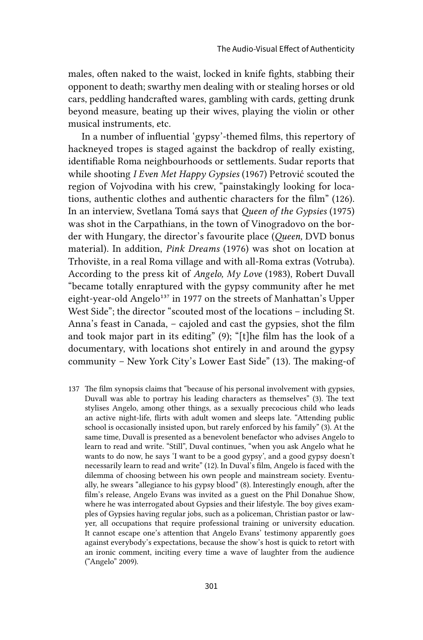males, often naked to the waist, locked in knife fights, stabbing their opponent to death; swarthy men dealing with or stealing horses or old cars, peddling handcrafted wares, gambling with cards, getting drunk beyond measure, beating up their wives, playing the violin or other musical instruments, etc.

In a number of influential 'gypsy'-themed films, this repertory of hackneyed tropes is staged against the backdrop of really existing, identifiable Roma neighbourhoods or settlements. Sudar reports that while shooting *I Even Met Happy Gypsies* (1967) Petrović scouted the region of Vojvodina with his crew, "painstakingly looking for locations, authentic clothes and authentic characters for the film" (126). In an interview, Svetlana Tomá says that *Queen of the Gypsies* (1975) was shot in the Carpathians, in the town of Vinogradovo on the border with Hungary, the director's favourite place (*Queen,* DVD bonus material). In addition, *Pink Dreams* (1976) was shot on location at Trhovište, in a real Roma village and with all-Roma extras (Votruba). According to the press kit of *Angelo, My Love* (1983), Robert Duvall "became totally enraptured with the gypsy community after he met eight-year-old Angelo<sup>137</sup> in 1977 on the streets of Manhattan's Upper West Side"; the director "scouted most of the locations – including St. Anna's feast in Canada, – cajoled and cast the gypsies, shot the film and took major part in its editing" (9); "[t]he film has the look of a documentary, with locations shot entirely in and around the gypsy community – New York City's Lower East Side" (13). The making-of

137 The film synopsis claims that "because of his personal involvement with gypsies, Duvall was able to portray his leading characters as themselves" (3). The text stylises Angelo, among other things, as a sexually precocious child who leads an active night-life, flirts with adult women and sleeps late. "Attending public school is occasionally insisted upon, but rarely enforced by his family" (3). At the same time, Duvall is presented as a benevolent benefactor who advises Angelo to learn to read and write. "Still", Duval continues, "when you ask Angelo what he wants to do now, he says 'I want to be a good gypsy', and a good gypsy doesn't necessarily learn to read and write" (12). In Duval's film, Angelo is faced with the dilemma of choosing between his own people and mainstream society. Eventually, he swears "allegiance to his gypsy blood" (8). Interestingly enough, after the film's release, Angelo Evans was invited as a guest on the Phil Donahue Show, where he was interrogated about Gypsies and their lifestyle. The boy gives examples of Gypsies having regular jobs, such as a policeman, Christian pastor or lawyer, all occupations that require professional training or university education. It cannot escape one's attention that Angelo Evans' testimony apparently goes against everybody's expectations, because the show's host is quick to retort with an ironic comment, inciting every time a wave of laughter from the audience ("Angelo" 2009).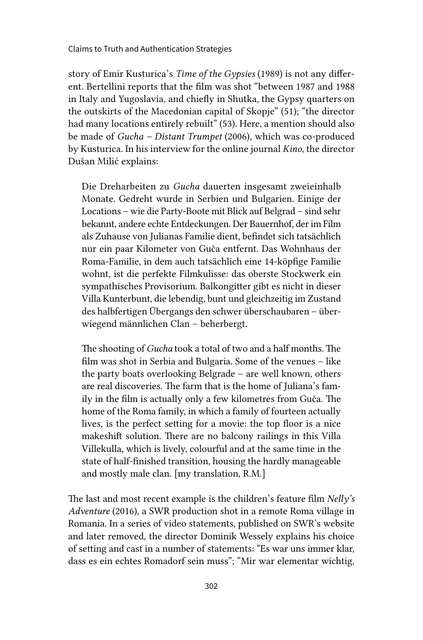story of Emir Kusturica's *Time of the Gypsies* (1989) is not any different. Bertellini reports that the film was shot "between 1987 and 1988 in Italy and Yugoslavia, and chiefly in Shutka, the Gypsy quarters on the outskirts of the Macedonian capital of Skopje" (51); "the director had many locations entirely rebuilt" (53). Here, a mention should also be made of *Gucha – Distant Trumpet* (2006), which was co-produced by Kusturica. In his interview for the online journal *Kino*, the director Dušan Milić explains:

Die Dreharbeiten zu *Gucha* dauerten insgesamt zweieinhalb Monate. Gedreht wurde in Serbien und Bulgarien. Einige der Locations – wie die Party-Boote mit Blick auf Belgrad – sind sehr bekannt, andere echte Entdeckungen. Der Bauernhof, der im Film als Zuhause von Julianas Familie dient, befindet sich tatsächlich nur ein paar Kilometer von Guča entfernt. Das Wohnhaus der Roma-Familie, in dem auch tatsächlich eine 14-köpfige Familie wohnt, ist die perfekte Filmkulisse: das oberste Stockwerk ein sympathisches Provisorium. Balkongitter gibt es nicht in dieser Villa Kunterbunt, die lebendig, bunt und gleichzeitig im Zustand des halbfertigen Übergangs den schwer überschaubaren – überwiegend männlichen Clan – beherbergt.

The shooting of *Gucha* took a total of two and a half months. The film was shot in Serbia and Bulgaria. Some of the venues – like the party boats overlooking Belgrade – are well known, others are real discoveries. The farm that is the home of Juliana's family in the film is actually only a few kilometres from Guča. The home of the Roma family, in which a family of fourteen actually lives, is the perfect setting for a movie: the top floor is a nice makeshift solution. There are no balcony railings in this Villa Villekulla, which is lively, colourful and at the same time in the state of half-finished transition, housing the hardly manageable and mostly male clan. [my translation, R.M.]

The last and most recent example is the children's feature film *Nelly's Adventure* (2016), a SWR production shot in a remote Roma village in Romania. In a series of video statements, published on SWR's website and later removed, the director Dominik Wessely explains his choice of setting and cast in a number of statements: "Es war uns immer klar, dass es ein echtes Romadorf sein muss"; "Mir war elementar wichtig,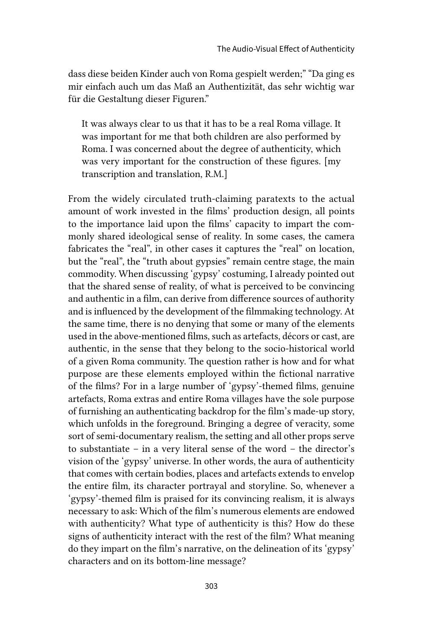dass diese beiden Kinder auch von Roma gespielt werden;" "Da ging es mir einfach auch um das Maß an Authentizität, das sehr wichtig war für die Gestaltung dieser Figuren."

It was always clear to us that it has to be a real Roma village. It was important for me that both children are also performed by Roma. I was concerned about the degree of authenticity, which was very important for the construction of these figures. [my transcription and translation, R.M.]

From the widely circulated truth-claiming paratexts to the actual amount of work invested in the films' production design, all points to the importance laid upon the films' capacity to impart the commonly shared ideological sense of reality. In some cases, the camera fabricates the "real", in other cases it captures the "real" on location, but the "real", the "truth about gypsies" remain centre stage, the main commodity. When discussing 'gypsy' costuming, I already pointed out that the shared sense of reality, of what is perceived to be convincing and authentic in a film, can derive from difference sources of authority and is influenced by the development of the filmmaking technology. At the same time, there is no denying that some or many of the elements used in the above-mentioned films, such as artefacts, décors or cast, are authentic, in the sense that they belong to the socio-historical world of a given Roma community. The question rather is how and for what purpose are these elements employed within the fictional narrative of the films? For in a large number of 'gypsy'-themed films, genuine artefacts, Roma extras and entire Roma villages have the sole purpose of furnishing an authenticating backdrop for the film's made-up story, which unfolds in the foreground. Bringing a degree of veracity, some sort of semi-documentary realism, the setting and all other props serve to substantiate – in a very literal sense of the word – the director's vision of the 'gypsy' universe. In other words, the aura of authenticity that comes with certain bodies, places and artefacts extends to envelop the entire film, its character portrayal and storyline. So, whenever a 'gypsy'-themed film is praised for its convincing realism, it is always necessary to ask: Which of the film's numerous elements are endowed with authenticity? What type of authenticity is this? How do these signs of authenticity interact with the rest of the film? What meaning do they impart on the film's narrative, on the delineation of its 'gypsy' characters and on its bottom-line message?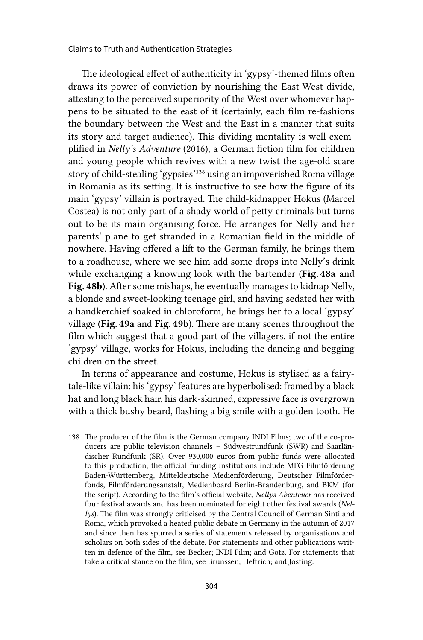The ideological effect of authenticity in 'gypsy'-themed films often draws its power of conviction by nourishing the East-West divide, attesting to the perceived superiority of the West over whomever happens to be situated to the east of it (certainly, each film re-fashions the boundary between the West and the East in a manner that suits its story and target audience). This dividing mentality is well exemplified in *Nelly's Adventure* (2016), a German fiction film for children and young people which revives with a new twist the age-old scare story of child-stealing 'gypsies'138 using an impoverished Roma village in Romania as its setting. It is instructive to see how the figure of its main 'gypsy' villain is portrayed. The child-kidnapper Hokus (Marcel Costea) is not only part of a shady world of petty criminals but turns out to be its main organising force. He arranges for Nelly and her parents' plane to get stranded in a Romanian field in the middle of nowhere. Having offered a lift to the German family, he brings them to a roadhouse, where we see him add some drops into Nelly's drink while exchanging a knowing look with the bartender (Fig. 48a and Fig. 48b). After some mishaps, he eventually manages to kidnap Nelly, a blonde and sweet-looking teenage girl, and having sedated her with a handkerchief soaked in chloroform, he brings her to a local 'gypsy' village (Fig. 49a and Fig. 49b). There are many scenes throughout the film which suggest that a good part of the villagers, if not the entire 'gypsy' village, works for Hokus, including the dancing and begging children on the street.

In terms of appearance and costume, Hokus is stylised as a fairytale-like villain; his 'gypsy' features are hyperbolised: framed by a black hat and long black hair, his dark-skinned, expressive face is overgrown with a thick bushy beard, flashing a big smile with a golden tooth. He

138 The producer of the film is the German company INDI Films; two of the co-producers are public television channels – Südwestrundfunk (SWR) and Saarländischer Rundfunk (SR). Over 930,000 euros from public funds were allocated to this production; the official funding institutions include MFG Filmförderung Baden-Württemberg, Mitteldeutsche Medienförderung, Deutscher Filmförderfonds, Filmförderungsanstalt, Medienboard Berlin-Brandenburg, and BKM (for the script). According to the film's official website, *Nellys Abenteuer* has received four festival awards and has been nominated for eight other festival awards (*Nellys*). The film was strongly criticised by the Central Council of German Sinti and Roma, which provoked a heated public debate in Germany in the autumn of 2017 and since then has spurred a series of statements released by organisations and scholars on both sides of the debate. For statements and other publications written in defence of the film, see Becker; INDI Film; and Götz. For statements that take a critical stance on the film, see Brunssen; Heftrich; and Josting.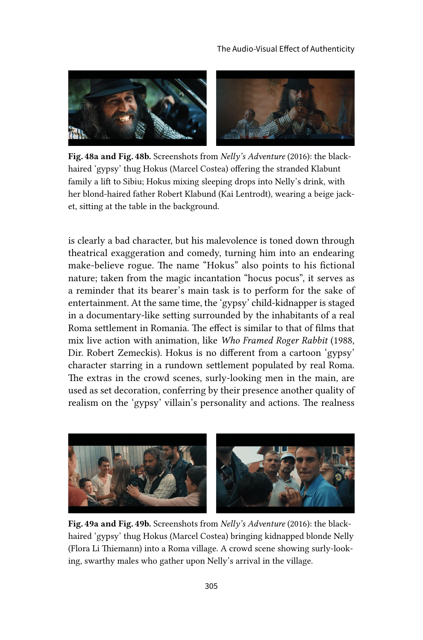

Fig. 48a and Fig. 48b. Screenshots from *Nelly's Adventure* (2016): the blackhaired 'gypsy' thug Hokus (Marcel Costea) offering the stranded Klabunt family a lift to Sibiu; Hokus mixing sleeping drops into Nelly's drink, with her blond-haired father Robert Klabund (Kai Lentrodt), wearing a beige jacket, sitting at the table in the background.

is clearly a bad character, but his malevolence is toned down through theatrical exaggeration and comedy, turning him into an endearing make-believe rogue. The name "Hokus" also points to his fictional nature; taken from the magic incantation "hocus pocus", it serves as a reminder that its bearer's main task is to perform for the sake of entertainment. At the same time, the 'gypsy' child-kidnapper is staged in a documentary-like setting surrounded by the inhabitants of a real Roma settlement in Romania. The effect is similar to that of films that mix live action with animation, like *Who Framed Roger Rabbit* (1988, Dir. Robert Zemeckis). Hokus is no different from a cartoon 'gypsy' character starring in a rundown settlement populated by real Roma. The extras in the crowd scenes, surly-looking men in the main, are used as set decoration, conferring by their presence another quality of realism on the 'gypsy' villain's personality and actions. The realness



Fig. 49a and Fig. 49b. Screenshots from *Nelly's Adventure* (2016): the blackhaired 'gypsy' thug Hokus (Marcel Costea) bringing kidnapped blonde Nelly (Flora Li Thiemann) into a Roma village. A crowd scene showing surly-looking, swarthy males who gather upon Nelly's arrival in the village.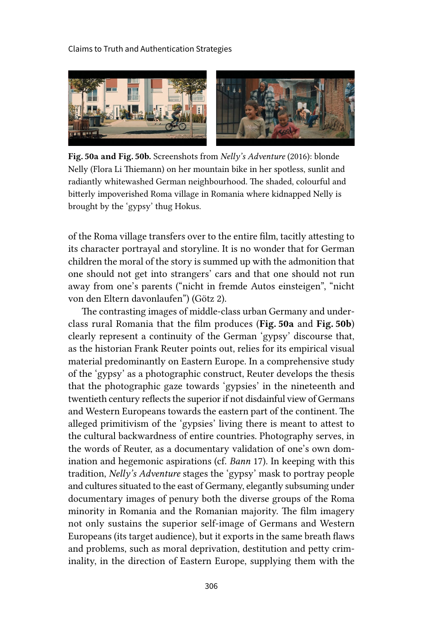

Fig. 50a and Fig. 50b. Screenshots from *Nelly's Adventure* (2016): blonde Nelly (Flora Li Thiemann) on her mountain bike in her spotless, sunlit and radiantly whitewashed German neighbourhood. The shaded, colourful and bitterly impoverished Roma village in Romania where kidnapped Nelly is brought by the 'gypsy' thug Hokus.

of the Roma village transfers over to the entire film, tacitly attesting to its character portrayal and storyline. It is no wonder that for German children the moral of the story is summed up with the admonition that one should not get into strangers' cars and that one should not run away from one's parents ("nicht in fremde Autos einsteigen", "nicht von den Eltern davonlaufen") (Götz 2).

The contrasting images of middle-class urban Germany and underclass rural Romania that the film produces (Fig. 50a and Fig. 50b) clearly represent a continuity of the German 'gypsy' discourse that, as the historian Frank Reuter points out, relies for its empirical visual material predominantly on Eastern Europe. In a comprehensive study of the 'gypsy' as a photographic construct, Reuter develops the thesis that the photographic gaze towards 'gypsies' in the nineteenth and twentieth century reflects the superior if not disdainful view of Germans and Western Europeans towards the eastern part of the continent. The alleged primitivism of the 'gypsies' living there is meant to attest to the cultural backwardness of entire countries. Photography serves, in the words of Reuter, as a documentary validation of one's own domination and hegemonic aspirations (cf. *Bann* 17). In keeping with this tradition, *Nelly's Adventure* stages the 'gypsy' mask to portray people and cultures situated to the east of Germany, elegantly subsuming under documentary images of penury both the diverse groups of the Roma minority in Romania and the Romanian majority. The film imagery not only sustains the superior self-image of Germans and Western Europeans (its target audience), but it exports in the same breath flaws and problems, such as moral deprivation, destitution and petty criminality, in the direction of Eastern Europe, supplying them with the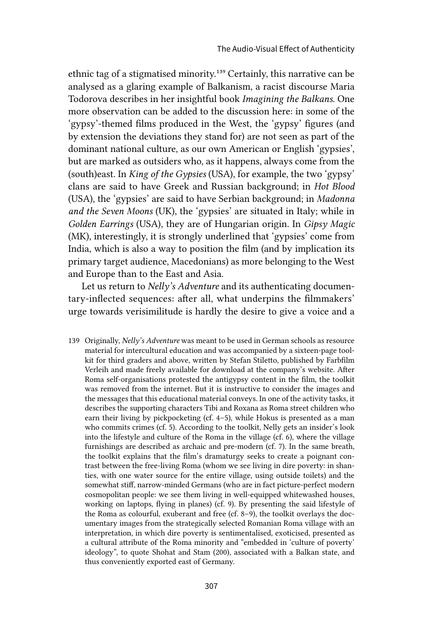ethnic tag of a stigmatised minority.139 Certainly, this narrative can be analysed as a glaring example of Balkanism, a racist discourse Maria Todorova describes in her insightful book *Imagining the Balkans*. One more observation can be added to the discussion here: in some of the 'gypsy'-themed films produced in the West, the 'gypsy' figures (and by extension the deviations they stand for) are not seen as part of the dominant national culture, as our own American or English 'gypsies', but are marked as outsiders who, as it happens, always come from the (south)east. In *King of the Gypsies* (USA), for example, the two 'gypsy' clans are said to have Greek and Russian background; in *Hot Blood* (USA), the 'gypsies' are said to have Serbian background; in *Madonna and the Seven Moons* (UK), the 'gypsies' are situated in Italy; while in *Golden Earrings* (USA), they are of Hungarian origin. In *Gipsy Magic* (MK), interestingly, it is strongly underlined that 'gypsies' come from India, which is also a way to position the film (and by implication its primary target audience, Macedonians) as more belonging to the West and Europe than to the East and Asia.

Let us return to *Nelly's Adventure* and its authenticating documentary-inflected sequences: after all, what underpins the filmmakers' urge towards verisimilitude is hardly the desire to give a voice and a

139 Originally, *Nelly's Adventure* was meant to be used in German schools as resource material for intercultural education and was accompanied by a sixteen-page toolkit for third graders and above, written by Stefan Stiletto, published by Farbfilm Verleih and made freely available for download at the company's website. After Roma self-organisations protested the antigypsy content in the film, the toolkit was removed from the internet. But it is instructive to consider the images and the messages that this educational material conveys. In one of the activity tasks, it describes the supporting characters Tibi and Roxana as Roma street children who earn their living by pickpocketing (cf. 4–5), while Hokus is presented as a man who commits crimes (cf. 5). According to the toolkit, Nelly gets an insider's look into the lifestyle and culture of the Roma in the village (cf. 6), where the village furnishings are described as archaic and pre-modern (cf. 7). In the same breath, the toolkit explains that the film's dramaturgy seeks to create a poignant contrast between the free-living Roma (whom we see living in dire poverty: in shanties, with one water source for the entire village, using outside toilets) and the somewhat stiff, narrow-minded Germans (who are in fact picture-perfect modern cosmopolitan people: we see them living in well-equipped whitewashed houses, working on laptops, flying in planes) (cf. 9). By presenting the said lifestyle of the Roma as colourful, exuberant and free (cf. 8–9), the toolkit overlays the documentary images from the strategically selected Romanian Roma village with an interpretation, in which dire poverty is sentimentalised, exoticised, presented as a cultural attribute of the Roma minority and "embedded in 'culture of poverty' ideology", to quote Shohat and Stam (200), associated with a Balkan state, and thus conveniently exported east of Germany.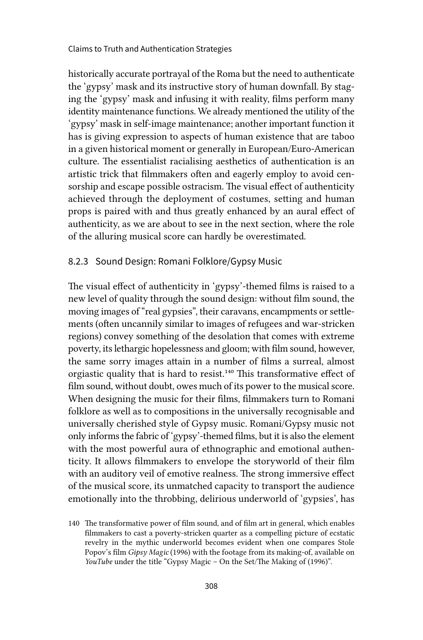historically accurate portrayal of the Roma but the need to authenticate the 'gypsy' mask and its instructive story of human downfall. By staging the 'gypsy' mask and infusing it with reality, films perform many identity maintenance functions. We already mentioned the utility of the 'gypsy' mask in self-image maintenance; another important function it has is giving expression to aspects of human existence that are taboo in a given historical moment or generally in European/Euro-American culture. The essentialist racialising aesthetics of authentication is an artistic trick that filmmakers often and eagerly employ to avoid censorship and escape possible ostracism. The visual effect of authenticity achieved through the deployment of costumes, setting and human props is paired with and thus greatly enhanced by an aural effect of authenticity, as we are about to see in the next section, where the role of the alluring musical score can hardly be overestimated.

#### 8.2.3 Sound Design: Romani Folklore/Gypsy Music

The visual effect of authenticity in 'gypsy'-themed films is raised to a new level of quality through the sound design: without film sound, the moving images of "real gypsies", their caravans, encampments or settlements (often uncannily similar to images of refugees and war-stricken regions) convey something of the desolation that comes with extreme poverty, its lethargic hopelessness and gloom; with film sound, however, the same sorry images attain in a number of films a surreal, almost orgiastic quality that is hard to resist.<sup>140</sup> This transformative effect of film sound, without doubt, owes much of its power to the musical score. When designing the music for their films, filmmakers turn to Romani folklore as well as to compositions in the universally recognisable and universally cherished style of Gypsy music. Romani/Gypsy music not only informs the fabric of 'gypsy'-themed films, but it is also the element with the most powerful aura of ethnographic and emotional authenticity. It allows filmmakers to envelope the storyworld of their film with an auditory veil of emotive realness. The strong immersive effect of the musical score, its unmatched capacity to transport the audience emotionally into the throbbing, delirious underworld of 'gypsies', has

<sup>140</sup> The transformative power of film sound, and of film art in general, which enables filmmakers to cast a poverty-stricken quarter as a compelling picture of ecstatic revelry in the mythic underworld becomes evident when one compares Stole Popov's film *Gipsy Magic* (1996) with the footage from its making-of, available on *YouTube* under the title "Gypsy Magic – On the Set/The Making of (1996)".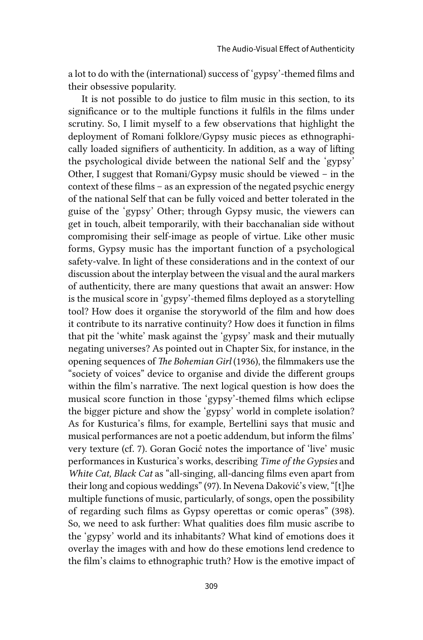a lot to do with the (international) success of 'gypsy'-themed films and their obsessive popularity.

It is not possible to do justice to film music in this section, to its significance or to the multiple functions it fulfils in the films under scrutiny. So, I limit myself to a few observations that highlight the deployment of Romani folklore/Gypsy music pieces as ethnographically loaded signifiers of authenticity. In addition, as a way of lifting the psychological divide between the national Self and the 'gypsy' Other, I suggest that Romani/Gypsy music should be viewed – in the context of these films – as an expression of the negated psychic energy of the national Self that can be fully voiced and better tolerated in the guise of the 'gypsy' Other; through Gypsy music, the viewers can get in touch, albeit temporarily, with their bacchanalian side without compromising their self-image as people of virtue. Like other music forms, Gypsy music has the important function of a psychological safety-valve. In light of these considerations and in the context of our discussion about the interplay between the visual and the aural markers of authenticity, there are many questions that await an answer: How is the musical score in 'gypsy'-themed films deployed as a storytelling tool? How does it organise the storyworld of the film and how does it contribute to its narrative continuity? How does it function in films that pit the 'white' mask against the 'gypsy' mask and their mutually negating universes? As pointed out in Chapter Six, for instance, in the opening sequences of *The Bohemian Girl* (1936), the filmmakers use the "society of voices" device to organise and divide the different groups within the film's narrative. The next logical question is how does the musical score function in those 'gypsy'-themed films which eclipse the bigger picture and show the 'gypsy' world in complete isolation? As for Kusturica's films, for example, Bertellini says that music and musical performances are not a poetic addendum, but inform the films' very texture (cf. 7). Goran Gocić notes the importance of 'live' music performances in Kusturica's works, describing *Time of the Gypsies* and *White Cat, Black Cat* as "all-singing, all-dancing films even apart from their long and copious weddings" (97). In Nevena Daković's view, "[t]he multiple functions of music, particularly, of songs, open the possibility of regarding such films as Gypsy operettas or comic operas" (398). So, we need to ask further: What qualities does film music ascribe to the 'gypsy' world and its inhabitants? What kind of emotions does it overlay the images with and how do these emotions lend credence to the film's claims to ethnographic truth? How is the emotive impact of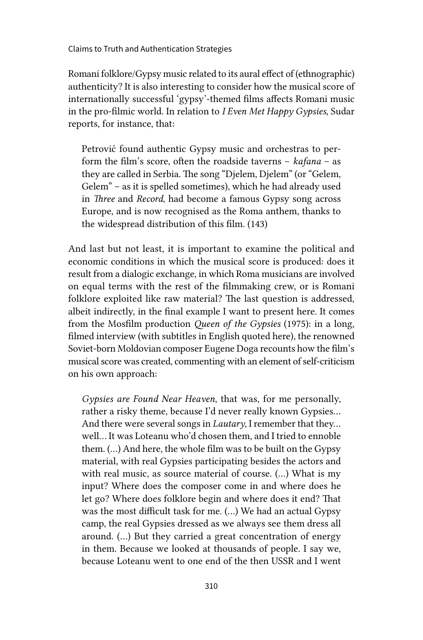Romani folklore/Gypsy music related to its aural effect of (ethnographic) authenticity? It is also interesting to consider how the musical score of internationally successful 'gypsy'-themed films affects Romani music in the pro-filmic world. In relation to *I Even Met Happy Gypsies*, Sudar reports, for instance, that:

Petrović found authentic Gypsy music and orchestras to perform the film's score, often the roadside taverns – *kafana* – as they are called in Serbia. The song "Djelem, Djelem" (or "Gelem, Gelem" – as it is spelled sometimes), which he had already used in *Three* and *Record*, had become a famous Gypsy song across Europe, and is now recognised as the Roma anthem, thanks to the widespread distribution of this film. (143)

And last but not least, it is important to examine the political and economic conditions in which the musical score is produced: does it result from a dialogic exchange, in which Roma musicians are involved on equal terms with the rest of the filmmaking crew, or is Romani folklore exploited like raw material? The last question is addressed, albeit indirectly, in the final example I want to present here. It comes from the Mosfilm production *Queen of the Gypsies* (1975): in a long, filmed interview (with subtitles in English quoted here), the renowned Soviet-born Moldovian composer Eugene Doga recounts how the film's musical score was created, commenting with an element of self-criticism on his own approach:

*Gypsies are Found Near Heaven*, that was, for me personally, rather a risky theme, because I'd never really known Gypsies… And there were several songs in *Lautary*, I remember that they… well… It was Loteanu who'd chosen them, and I tried to ennoble them. (…) And here, the whole film was to be built on the Gypsy material, with real Gypsies participating besides the actors and with real music, as source material of course. (…) What is my input? Where does the composer come in and where does he let go? Where does folklore begin and where does it end? That was the most difficult task for me. (…) We had an actual Gypsy camp, the real Gypsies dressed as we always see them dress all around. (…) But they carried a great concentration of energy in them. Because we looked at thousands of people. I say we, because Loteanu went to one end of the then USSR and I went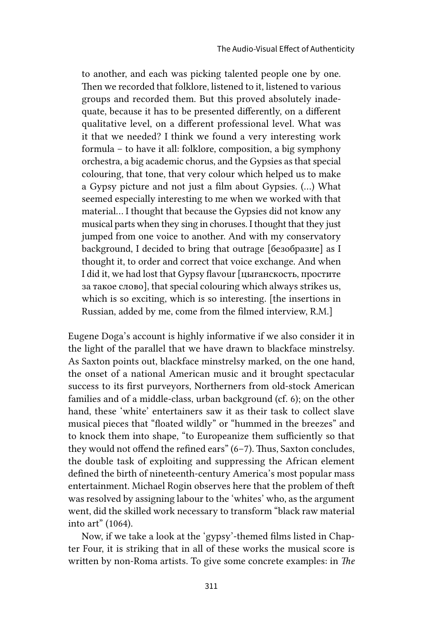to another, and each was picking talented people one by one. Then we recorded that folklore, listened to it, listened to various groups and recorded them. But this proved absolutely inadequate, because it has to be presented differently, on a different qualitative level, on a different professional level. What was it that we needed? I think we found a very interesting work formula – to have it all: folklore, composition, a big symphony orchestra, a big academic chorus, and the Gypsies as that special colouring, that tone, that very colour which helped us to make a Gypsy picture and not just a film about Gypsies. (…) What seemed especially interesting to me when we worked with that material… I thought that because the Gypsies did not know any musical parts when they sing in choruses. I thought that they just jumped from one voice to another. And with my conservatory background, I decided to bring that outrage [безобразие] as I thought it, to order and correct that voice exchange. And when I did it, we had lost that Gypsy flavour [цыганскость, простите за такое слово], that special colouring which always strikes us, which is so exciting, which is so interesting. [the insertions in Russian, added by me, come from the filmed interview, R.M.]

Eugene Doga's account is highly informative if we also consider it in the light of the parallel that we have drawn to blackface minstrelsy. As Saxton points out, blackface minstrelsy marked, on the one hand, the onset of a national American music and it brought spectacular success to its first purveyors, Northerners from old-stock American families and of a middle-class, urban background (cf. 6); on the other hand, these 'white' entertainers saw it as their task to collect slave musical pieces that "floated wildly" or "hummed in the breezes" and to knock them into shape, "to Europeanize them sufficiently so that they would not offend the refined ears" (6–7). Thus, Saxton concludes, the double task of exploiting and suppressing the African element defined the birth of nineteenth-century America's most popular mass entertainment. Michael Rogin observes here that the problem of theft was resolved by assigning labour to the 'whites' who, as the argument went, did the skilled work necessary to transform "black raw material into art" (1064).

Now, if we take a look at the 'gypsy'-themed films listed in Chapter Four, it is striking that in all of these works the musical score is written by non-Roma artists. To give some concrete examples: in *The*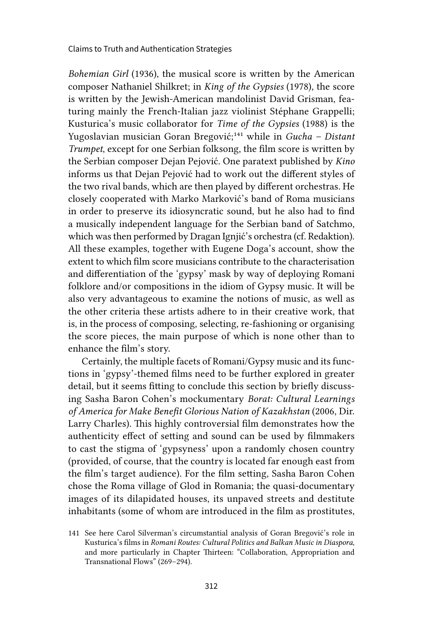*Bohemian Girl* (1936), the musical score is written by the American composer Nathaniel Shilkret; in *King of the Gypsies* (1978), the score is written by the Jewish-American mandolinist David Grisman, featuring mainly the French-Italian jazz violinist Stéphane Grappelli; Kusturica's music collaborator for *Time of the Gypsies* (1988) is the Yugoslavian musician Goran Bregović;141 while in *Gucha – Distant Trumpet*, except for one Serbian folksong, the film score is written by the Serbian composer Dejan Pejović. One paratext published by *Kino*  informs us that Dejan Pejović had to work out the different styles of the two rival bands, which are then played by different orchestras. He closely cooperated with Marko Marković's band of Roma musicians in order to preserve its idiosyncratic sound, but he also had to find a musically independent language for the Serbian band of Satchmo, which was then performed by Dragan Ignjić's orchestra (cf. Redaktion). All these examples, together with Eugene Doga's account, show the extent to which film score musicians contribute to the characterisation and differentiation of the 'gypsy' mask by way of deploying Romani folklore and/or compositions in the idiom of Gypsy music. It will be also very advantageous to examine the notions of music, as well as the other criteria these artists adhere to in their creative work, that is, in the process of composing, selecting, re-fashioning or organising the score pieces, the main purpose of which is none other than to enhance the film's story.

Certainly, the multiple facets of Romani/Gypsy music and its functions in 'gypsy'-themed films need to be further explored in greater detail, but it seems fitting to conclude this section by briefly discussing Sasha Baron Cohen's mockumentary *Borat: Cultural Learnings of America for Make Benefit Glorious Nation of Kazakhstan* (2006, Dir. Larry Charles). This highly controversial film demonstrates how the authenticity effect of setting and sound can be used by filmmakers to cast the stigma of 'gypsyness' upon a randomly chosen country (provided, of course, that the country is located far enough east from the film's target audience). For the film setting, Sasha Baron Cohen chose the Roma village of Glod in Romania; the quasi-documentary images of its dilapidated houses, its unpaved streets and destitute inhabitants (some of whom are introduced in the film as prostitutes,

<sup>141</sup> See here Carol Silverman's circumstantial analysis of Goran Bregović's role in Kusturica's films in *Romani Routes: Cultural Politics and Balkan Music in Diaspora*, and more particularly in Chapter Thirteen: "Collaboration, Appropriation and Transnational Flows" (269–294).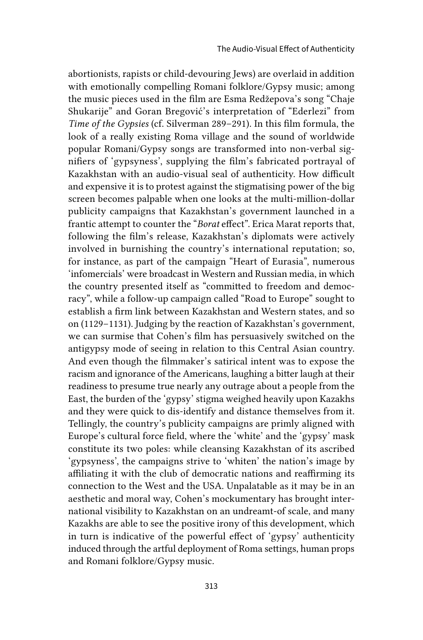abortionists, rapists or child-devouring Jews) are overlaid in addition with emotionally compelling Romani folklore/Gypsy music; among the music pieces used in the film are Esma Redžepova's song "Chaje Shukarije" and Goran Bregović's interpretation of "Ederlezi" from *Time of the Gypsies* (cf. Silverman 289–291). In this film formula, the look of a really existing Roma village and the sound of worldwide popular Romani/Gypsy songs are transformed into non-verbal signifiers of 'gypsyness', supplying the film's fabricated portrayal of Kazakhstan with an audio-visual seal of authenticity. How difficult and expensive it is to protest against the stigmatising power of the big screen becomes palpable when one looks at the multi-million-dollar publicity campaigns that Kazakhstan's government launched in a frantic attempt to counter the "*Borat* effect". Erica Marat reports that, following the film's release, Kazakhstan's diplomats were actively involved in burnishing the country's international reputation; so, for instance, as part of the campaign "Heart of Eurasia", numerous 'infomercials' were broadcast in Western and Russian media, in which the country presented itself as "committed to freedom and democracy", while a follow-up campaign called "Road to Europe" sought to establish a firm link between Kazakhstan and Western states, and so on (1129–1131). Judging by the reaction of Kazakhstan's government, we can surmise that Cohen's film has persuasively switched on the antigypsy mode of seeing in relation to this Central Asian country. And even though the filmmaker's satirical intent was to expose the racism and ignorance of the Americans, laughing a bitter laugh at their readiness to presume true nearly any outrage about a people from the East, the burden of the 'gypsy' stigma weighed heavily upon Kazakhs and they were quick to dis-identify and distance themselves from it. Tellingly, the country's publicity campaigns are primly aligned with Europe's cultural force field, where the 'white' and the 'gypsy' mask constitute its two poles: while cleansing Kazakhstan of its ascribed 'gypsyness', the campaigns strive to 'whiten' the nation's image by affiliating it with the club of democratic nations and reaffirming its connection to the West and the USA. Unpalatable as it may be in an aesthetic and moral way, Cohen's mockumentary has brought international visibility to Kazakhstan on an undreamt-of scale, and many Kazakhs are able to see the positive irony of this development, which in turn is indicative of the powerful effect of 'gypsy' authenticity induced through the artful deployment of Roma settings, human props and Romani folklore/Gypsy music.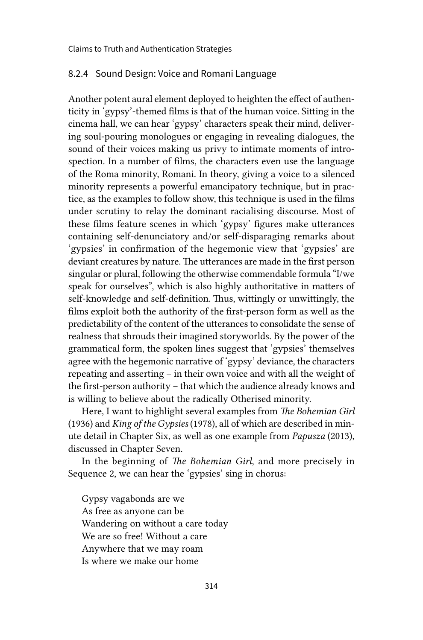#### 8.2.4 Sound Design: Voice and Romani Language

Another potent aural element deployed to heighten the effect of authenticity in 'gypsy'-themed films is that of the human voice. Sitting in the cinema hall, we can hear 'gypsy' characters speak their mind, delivering soul-pouring monologues or engaging in revealing dialogues, the sound of their voices making us privy to intimate moments of introspection. In a number of films, the characters even use the language of the Roma minority, Romani. In theory, giving a voice to a silenced minority represents a powerful emancipatory technique, but in practice, as the examples to follow show, this technique is used in the films under scrutiny to relay the dominant racialising discourse. Most of these films feature scenes in which 'gypsy' figures make utterances containing self-denunciatory and/or self-disparaging remarks about 'gypsies' in confirmation of the hegemonic view that 'gypsies' are deviant creatures by nature. The utterances are made in the first person singular or plural, following the otherwise commendable formula "I/we speak for ourselves", which is also highly authoritative in matters of self-knowledge and self-definition. Thus, wittingly or unwittingly, the films exploit both the authority of the first-person form as well as the predictability of the content of the utterances to consolidate the sense of realness that shrouds their imagined storyworlds. By the power of the grammatical form, the spoken lines suggest that 'gypsies' themselves agree with the hegemonic narrative of 'gypsy' deviance, the characters repeating and asserting – in their own voice and with all the weight of the first-person authority – that which the audience already knows and is willing to believe about the radically Otherised minority.

Here, I want to highlight several examples from *The Bohemian Girl* (1936) and *King of the Gypsies* (1978), all of which are described in minute detail in Chapter Six, as well as one example from *Papusza* (2013), discussed in Chapter Seven.

In the beginning of *The Bohemian Girl*, and more precisely in Sequence 2, we can hear the 'gypsies' sing in chorus:

Gypsy vagabonds are we As free as anyone can be Wandering on without a care today We are so free! Without a care Anywhere that we may roam Is where we make our home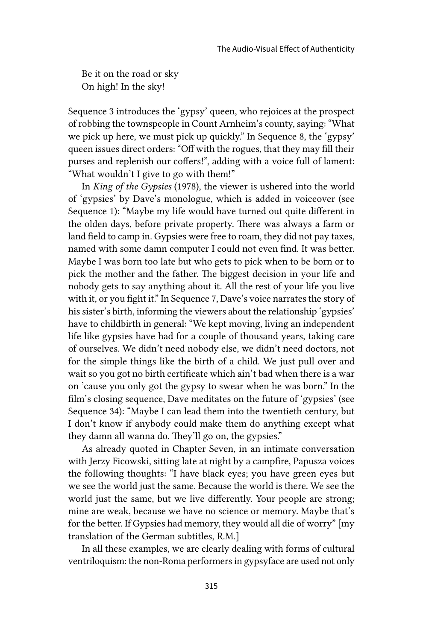Be it on the road or sky On high! In the sky!

Sequence 3 introduces the 'gypsy' queen, who rejoices at the prospect of robbing the townspeople in Count Arnheim's county, saying: "What we pick up here, we must pick up quickly." In Sequence 8, the 'gypsy' queen issues direct orders: "Off with the rogues, that they may fill their purses and replenish our coffers!", adding with a voice full of lament: "What wouldn't I give to go with them!"

In *King of the Gypsies* (1978), the viewer is ushered into the world of 'gypsies' by Dave's monologue, which is added in voiceover (see Sequence 1): "Maybe my life would have turned out quite different in the olden days, before private property. There was always a farm or land field to camp in. Gypsies were free to roam, they did not pay taxes, named with some damn computer I could not even find. It was better. Maybe I was born too late but who gets to pick when to be born or to pick the mother and the father. The biggest decision in your life and nobody gets to say anything about it. All the rest of your life you live with it, or you fight it." In Sequence 7, Dave's voice narrates the story of his sister's birth, informing the viewers about the relationship 'gypsies' have to childbirth in general: "We kept moving, living an independent life like gypsies have had for a couple of thousand years, taking care of ourselves. We didn't need nobody else, we didn't need doctors, not for the simple things like the birth of a child. We just pull over and wait so you got no birth certificate which ain't bad when there is a war on 'cause you only got the gypsy to swear when he was born." In the film's closing sequence, Dave meditates on the future of 'gypsies' (see Sequence 34): "Maybe I can lead them into the twentieth century, but I don't know if anybody could make them do anything except what they damn all wanna do. They'll go on, the gypsies."

As already quoted in Chapter Seven, in an intimate conversation with Jerzy Ficowski, sitting late at night by a campfire, Papusza voices the following thoughts: "I have black eyes; you have green eyes but we see the world just the same. Because the world is there. We see the world just the same, but we live differently. Your people are strong; mine are weak, because we have no science or memory. Maybe that's for the better. If Gypsies had memory, they would all die of worry" [my translation of the German subtitles, R.M.]

In all these examples, we are clearly dealing with forms of cultural ventriloquism: the non-Roma performers in gypsyface are used not only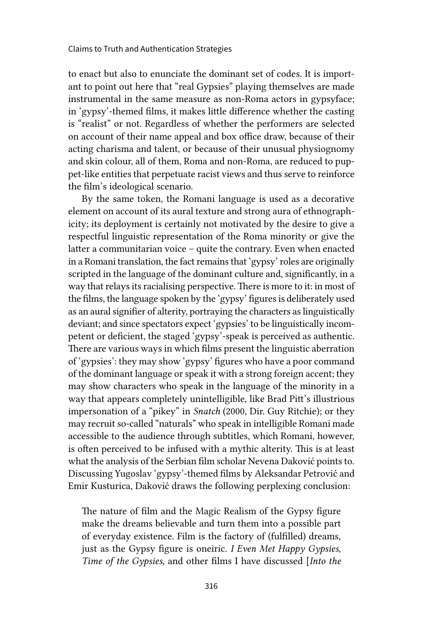to enact but also to enunciate the dominant set of codes. It is important to point out here that "real Gypsies" playing themselves are made instrumental in the same measure as non-Roma actors in gypsyface; in 'gypsy'-themed films, it makes little difference whether the casting is "realist" or not. Regardless of whether the performers are selected on account of their name appeal and box office draw, because of their acting charisma and talent, or because of their unusual physiognomy and skin colour, all of them, Roma and non-Roma, are reduced to puppet-like entities that perpetuate racist views and thus serve to reinforce the film's ideological scenario.

By the same token, the Romani language is used as a decorative element on account of its aural texture and strong aura of ethnographicity; its deployment is certainly not motivated by the desire to give a respectful linguistic representation of the Roma minority or give the latter a communitarian voice – quite the contrary. Even when enacted in a Romani translation, the fact remains that 'gypsy' roles are originally scripted in the language of the dominant culture and, significantly, in a way that relays its racialising perspective. There is more to it: in most of the films, the language spoken by the 'gypsy' figures is deliberately used as an aural signifier of alterity, portraying the characters as linguistically deviant; and since spectators expect 'gypsies' to be linguistically incompetent or deficient, the staged 'gypsy'-speak is perceived as authentic. There are various ways in which films present the linguistic aberration of 'gypsies': they may show 'gypsy' figures who have a poor command of the dominant language or speak it with a strong foreign accent; they may show characters who speak in the language of the minority in a way that appears completely unintelligible, like Brad Pitt's illustrious impersonation of a "pikey" in *Snatch* (2000, Dir. Guy Ritchie); or they may recruit so-called "naturals" who speak in intelligible Romani made accessible to the audience through subtitles, which Romani, however, is often perceived to be infused with a mythic alterity. This is at least what the analysis of the Serbian film scholar Nevena Daković points to. Discussing Yugoslav 'gypsy'-themed films by Aleksandar Petrović and Emir Kusturica, Daković draws the following perplexing conclusion:

The nature of film and the Magic Realism of the Gypsy figure make the dreams believable and turn them into a possible part of everyday existence. Film is the factory of (fulfilled) dreams, just as the Gypsy figure is oneiric. *I Even Met Happy Gypsies*, *Time of the Gypsies*, and other films I have discussed [*Into the*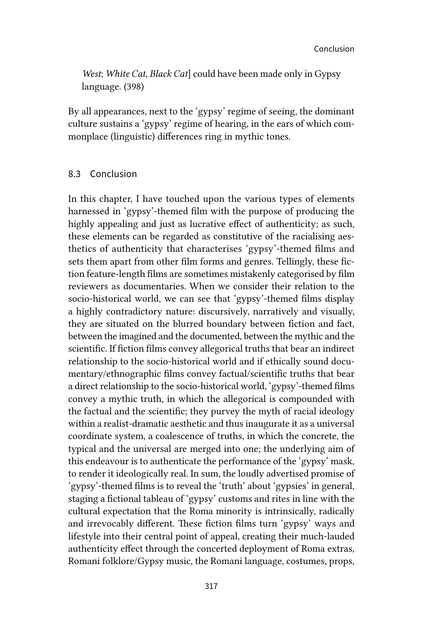*West*; *White Cat, Black Cat*] could have been made only in Gypsy language. (398)

By all appearances, next to the 'gypsy' regime of seeing, the dominant culture sustains a 'gypsy' regime of hearing, in the ears of which commonplace (linguistic) differences ring in mythic tones.

### 8.3 Conclusion

In this chapter, I have touched upon the various types of elements harnessed in 'gypsy'-themed film with the purpose of producing the highly appealing and just as lucrative effect of authenticity; as such, these elements can be regarded as constitutive of the racialising aesthetics of authenticity that characterises 'gypsy'-themed films and sets them apart from other film forms and genres. Tellingly, these fiction feature-length films are sometimes mistakenly categorised by film reviewers as documentaries. When we consider their relation to the socio-historical world, we can see that 'gypsy'-themed films display a highly contradictory nature: discursively, narratively and visually, they are situated on the blurred boundary between fiction and fact, between the imagined and the documented, between the mythic and the scientific. If fiction films convey allegorical truths that bear an indirect relationship to the socio-historical world and if ethically sound documentary/ethnographic films convey factual/scientific truths that bear a direct relationship to the socio-historical world, 'gypsy'-themed films convey a mythic truth, in which the allegorical is compounded with the factual and the scientific; they purvey the myth of racial ideology within a realist-dramatic aesthetic and thus inaugurate it as a universal coordinate system, a coalescence of truths, in which the concrete, the typical and the universal are merged into one; the underlying aim of this endeavour is to authenticate the performance of the 'gypsy' mask, to render it ideologically real. In sum, the loudly advertised promise of 'gypsy'-themed films is to reveal the 'truth' about 'gypsies' in general, staging a fictional tableau of 'gypsy' customs and rites in line with the cultural expectation that the Roma minority is intrinsically, radically and irrevocably different. These fiction films turn 'gypsy' ways and lifestyle into their central point of appeal, creating their much-lauded authenticity effect through the concerted deployment of Roma extras, Romani folklore/Gypsy music, the Romani language, costumes, props,